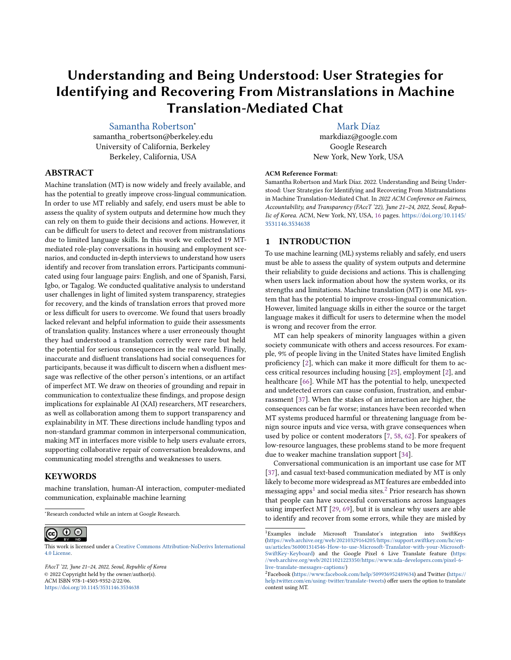# Understanding and Being Understood: User Strategies for Identifying and Recovering From Mistranslations in Machine Translation-Mediated Chat

# [Samantha Robertson](https://orcid.org/0000-0002-0386-4555)<sup>∗</sup>

samantha\_robertson@berkeley.edu University of California, Berkeley Berkeley, California, USA

# ABSTRACT

Machine translation (MT) is now widely and freely available, and has the potential to greatly improve cross-lingual communication. In order to use MT reliably and safely, end users must be able to assess the quality of system outputs and determine how much they can rely on them to guide their decisions and actions. However, it can be difficult for users to detect and recover from mistranslations due to limited language skills. In this work we collected 19 MTmediated role-play conversations in housing and employment scenarios, and conducted in-depth interviews to understand how users identify and recover from translation errors. Participants communicated using four language pairs: English, and one of Spanish, Farsi, Igbo, or Tagalog. We conducted qualitative analysis to understand user challenges in light of limited system transparency, strategies for recovery, and the kinds of translation errors that proved more or less difficult for users to overcome. We found that users broadly lacked relevant and helpful information to guide their assessments of translation quality. Instances where a user erroneously thought they had understood a translation correctly were rare but held the potential for serious consequences in the real world. Finally, inaccurate and disfluent translations had social consequences for participants, because it was difficult to discern when a disfluent message was reflective of the other person's intentions, or an artifact of imperfect MT. We draw on theories of grounding and repair in communication to contextualize these findings, and propose design implications for explainable AI (XAI) researchers, MT researchers, as well as collaboration among them to support transparency and explainability in MT. These directions include handling typos and non-standard grammar common in interpersonal communication, making MT in interfaces more visible to help users evaluate errors, supporting collaborative repair of conversation breakdowns, and communicating model strengths and weaknesses to users.

### **KEYWORDS**

machine translation, human-AI interaction, computer-mediated communication, explainable machine learning

<sup>∗</sup>Research conducted while an intern at Google Research.

#### $\odot$  $\odot$  $(c)$

This work is licensed under a [Creative Commons Attribution-NoDerivs International](https://creativecommons.org/licenses/by-nd/4.0/) [4.0 License.](https://creativecommons.org/licenses/by-nd/4.0/)

FAccT '22, June 21–24, 2022, Seoul, Republic of Korea © 2022 Copyright held by the owner/author(s). ACM ISBN 978-1-4503-9352-2/22/06. <https://doi.org/10.1145/3531146.3534638>

[Mark Díaz](https://orcid.org/0000-0003-0167-9839)

markdiaz@google.com Google Research New York, New York, USA

#### ACM Reference Format:

Samantha Robertson and Mark Díaz. 2022. Understanding and Being Understood: User Strategies for Identifying and Recovering From Mistranslations in Machine Translation-Mediated Chat. In 2022 ACM Conference on Fairness, Accountability, and Transparency (FAccT '22), June 21–24, 2022, Seoul, Republic of Korea. ACM, New York, NY, USA, [16](#page-15-0) pages. [https://doi.org/10.1145/](https://doi.org/10.1145/3531146.3534638) [3531146.3534638](https://doi.org/10.1145/3531146.3534638)

#### 1 INTRODUCTION

To use machine learning (ML) systems reliably and safely, end users must be able to assess the quality of system outputs and determine their reliability to guide decisions and actions. This is challenging when users lack information about how the system works, or its strengths and limitations. Machine translation (MT) is one ML system that has the potential to improve cross-lingual communication. However, limited language skills in either the source or the target language makes it difficult for users to determine when the model is wrong and recover from the error.

MT can help speakers of minority languages within a given society communicate with others and access resources. For example, 9% of people living in the United States have limited English proficiency [\[2\]](#page-9-0), which can make it more difficult for them to access critical resources including housing [\[25\]](#page-10-0), employment [\[2\]](#page-9-0), and healthcare [\[66\]](#page-11-0). While MT has the potential to help, unexpected and undetected errors can cause confusion, frustration, and embarrassment [\[37\]](#page-10-1). When the stakes of an interaction are higher, the consequences can be far worse; instances have been recorded when MT systems produced harmful or threatening language from benign source inputs and vice versa, with grave consequences when used by police or content moderators [\[7,](#page-9-1) [58,](#page-11-1) [62\]](#page-11-2). For speakers of low-resource languages, these problems stand to be more frequent due to weaker machine translation support [\[34\]](#page-10-2).

Conversational communication is an important use case for MT [\[37\]](#page-10-1), and casual text-based communication mediated by MT is only likely to become more widespread as MT features are embedded into messaging apps $^1$  $^1$  and social media sites. $^2$  $^2$  Prior research has shown that people can have successful conversations across languages using imperfect MT [\[29,](#page-10-3) [69\]](#page-11-3), but it is unclear why users are able to identify and recover from some errors, while they are misled by

<span id="page-0-0"></span> $^1$ Examples include Microsoft Translator's integration into SwiftKeys [\(https://web.archive.org/web/20210329164205/https://support.swiftkey.com/hc/en](https://web.archive.org/web/20210329164205/https://support.swiftkey.com/hc/en-us/articles/360001314546-How-to-use-Microsoft-Translator-with-your-Microsoft-SwiftKey-Keyboard)[us/articles/360001314546-How-to-use-Microsoft-Translator-with-your-Microsoft-](https://web.archive.org/web/20210329164205/https://support.swiftkey.com/hc/en-us/articles/360001314546-How-to-use-Microsoft-Translator-with-your-Microsoft-SwiftKey-Keyboard)[SwiftKey-Keyboard\)](https://web.archive.org/web/20210329164205/https://support.swiftkey.com/hc/en-us/articles/360001314546-How-to-use-Microsoft-Translator-with-your-Microsoft-SwiftKey-Keyboard) and the Google Pixel 6 Live Translate feature [\(https:](https://web.archive.org/web/20211021223350/https://www.xda-developers.com/pixel-6-live-translate-messages-captions/) [//web.archive.org/web/20211021223350/https://www.xda-developers.com/pixel-6](https://web.archive.org/web/20211021223350/https://www.xda-developers.com/pixel-6-live-translate-messages-captions/) [live-translate-messages-captions/\)](https://web.archive.org/web/20211021223350/https://www.xda-developers.com/pixel-6-live-translate-messages-captions/)

<span id="page-0-1"></span><sup>2</sup> Facebook [\(https://www.facebook.com/help/509936952489634\)](https://www.facebook.com/help/509936952489634) and Twitter [\(https://](https://help.twitter.com/en/using-twitter/translate-tweets) [help.twitter.com/en/using-twitter/translate-tweets\)](https://help.twitter.com/en/using-twitter/translate-tweets) offer users the option to translate content using MT.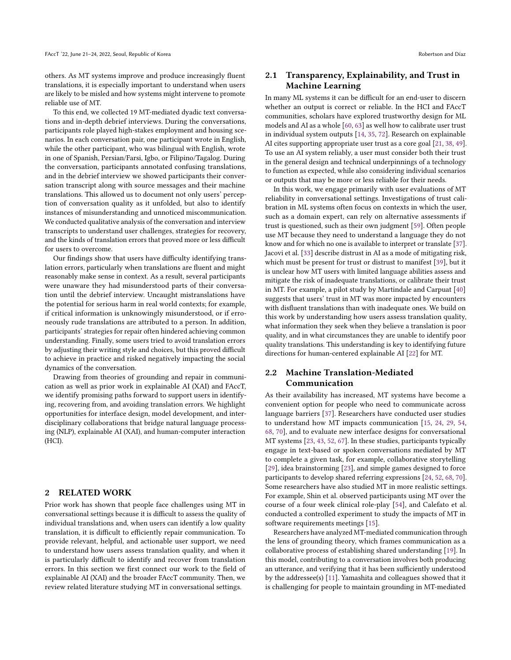others. As MT systems improve and produce increasingly fluent translations, it is especially important to understand when users are likely to be misled and how systems might intervene to promote reliable use of MT.

To this end, we collected 19 MT-mediated dyadic text conversations and in-depth debrief interviews. During the conversations, participants role played high-stakes employment and housing scenarios. In each conversation pair, one participant wrote in English, while the other participant, who was bilingual with English, wrote in one of Spanish, Persian/Farsi, Igbo, or Filipino/Tagalog. During the conversation, participants annotated confusing translations, and in the debrief interview we showed participants their conversation transcript along with source messages and their machine translations. This allowed us to document not only users' perception of conversation quality as it unfolded, but also to identify instances of misunderstanding and unnoticed miscommunication. We conducted qualitative analysis of the conversation and interview transcripts to understand user challenges, strategies for recovery, and the kinds of translation errors that proved more or less difficult for users to overcome.

Our findings show that users have difficulty identifying translation errors, particularly when translations are fluent and might reasonably make sense in context. As a result, several participants were unaware they had misunderstood parts of their conversation until the debrief interview. Uncaught mistranslations have the potential for serious harm in real world contexts; for example, if critical information is unknowingly misunderstood, or if erroneously rude translations are attributed to a person. In addition, participants' strategies for repair often hindered achieving common understanding. Finally, some users tried to avoid translation errors by adjusting their writing style and choices, but this proved difficult to achieve in practice and risked negatively impacting the social dynamics of the conversation.

Drawing from theories of grounding and repair in communication as well as prior work in explainable AI (XAI) and FAccT, we identify promising paths forward to support users in identifying, recovering from, and avoiding translation errors. We highlight opportunities for interface design, model development, and interdisciplinary collaborations that bridge natural language processing (NLP), explainable AI (XAI), and human-computer interaction (HCI).

#### **RELATED WORK**

Prior work has shown that people face challenges using MT in conversational settings because it is difficult to assess the quality of individual translations and, when users can identify a low quality translation, it is difficult to efficiently repair communication. To provide relevant, helpful, and actionable user support, we need to understand how users assess translation quality, and when it is particularly difficult to identify and recover from translation errors. In this section we first connect our work to the field of explainable AI (XAI) and the broader FAccT community. Then, we review related literature studying MT in conversational settings.

# 2.1 Transparency, Explainability, and Trust in Machine Learning

In many ML systems it can be difficult for an end-user to discern whether an output is correct or reliable. In the HCI and FAccT communities, scholars have explored trustworthy design for ML models and AI as a whole [\[60,](#page-11-4) [63\]](#page-11-5) as well how to calibrate user trust in individual system outputs [\[14,](#page-10-4) [35,](#page-10-5) [72\]](#page-11-6). Research on explainable AI cites supporting appropriate user trust as a core goal [\[21,](#page-10-6) [38,](#page-10-7) [49\]](#page-11-7). To use an AI system reliably, a user must consider both their trust in the general design and technical underpinnings of a technology to function as expected, while also considering individual scenarios or outputs that may be more or less reliable for their needs.

In this work, we engage primarily with user evaluations of MT reliability in conversational settings. Investigations of trust calibration in ML systems often focus on contexts in which the user, such as a domain expert, can rely on alternative assessments if trust is questioned, such as their own judgment [\[59\]](#page-11-8). Often people use MT because they need to understand a language they do not know and for which no one is available to interpret or translate [\[37\]](#page-10-1). Jacovi et al. [\[33\]](#page-10-8) describe distrust in AI as a mode of mitigating risk, which must be present for trust or distrust to manifest [\[39\]](#page-10-9), but it is unclear how MT users with limited language abilities assess and mitigate the risk of inadequate translations, or calibrate their trust in MT. For example, a pilot study by Martindale and Carpuat [\[40\]](#page-10-10) suggests that users' trust in MT was more impacted by encounters with disfluent translations than with inadequate ones. We build on this work by understanding how users assess translation quality, what information they seek when they believe a translation is poor quality, and in what circumstances they are unable to identify poor quality translations. This understanding is key to identifying future directions for human-centered explainable AI [\[22\]](#page-10-11) for MT.

# 2.2 Machine Translation-Mediated Communication

As their availability has increased, MT systems have become a convenient option for people who need to communicate across language barriers [\[37\]](#page-10-1). Researchers have conducted user studies to understand how MT impacts communication [\[15,](#page-10-12) [24,](#page-10-13) [29,](#page-10-3) [54,](#page-11-9) [68,](#page-11-10) [70\]](#page-11-11), and to evaluate new interface designs for conversational MT systems [\[23,](#page-10-14) [43,](#page-10-15) [52,](#page-11-12) [67\]](#page-11-13). In these studies, participants typically engage in text-based or spoken conversations mediated by MT to complete a given task, for example, collaborative storytelling [\[29\]](#page-10-3), idea brainstorming [\[23\]](#page-10-14), and simple games designed to force participants to develop shared referring expressions [\[24,](#page-10-13) [52,](#page-11-12) [68,](#page-11-10) [70\]](#page-11-11). Some researchers have also studied MT in more realistic settings. For example, Shin et al. observed participants using MT over the course of a four week clinical role-play [\[54\]](#page-11-9), and Calefato et al. conducted a controlled experiment to study the impacts of MT in software requirements meetings [\[15\]](#page-10-12).

Researchers have analyzed MT-mediated communication through the lens of grounding theory, which frames communication as a collaborative process of establishing shared understanding [\[19\]](#page-10-16). In this model, contributing to a conversation involves both producing an utterance, and verifying that it has been sufficiently understood by the addressee(s) [\[11\]](#page-10-17). Yamashita and colleagues showed that it is challenging for people to maintain grounding in MT-mediated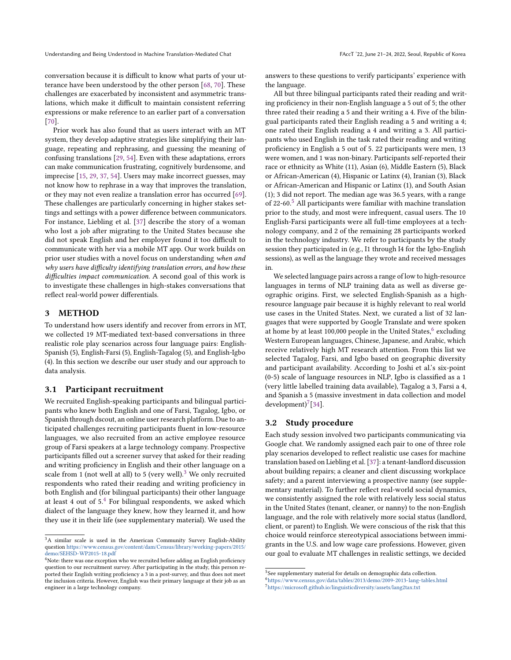conversation because it is difficult to know what parts of your utterance have been understood by the other person [\[68,](#page-11-10) [70\]](#page-11-11). These challenges are exacerbated by inconsistent and asymmetric translations, which make it difficult to maintain consistent referring expressions or make reference to an earlier part of a conversation [\[70\]](#page-11-11).

Prior work has also found that as users interact with an MT system, they develop adaptive strategies like simplifying their language, repeating and rephrasing, and guessing the meaning of confusing translations [\[29,](#page-10-3) [54\]](#page-11-9). Even with these adaptations, errors can make communication frustrating, cognitively burdensome, and imprecise [\[15,](#page-10-12) [29,](#page-10-3) [37,](#page-10-1) [54\]](#page-11-9). Users may make incorrect guesses, may not know how to rephrase in a way that improves the translation, or they may not even realize a translation error has occurred [\[69\]](#page-11-3). These challenges are particularly concerning in higher stakes settings and settings with a power difference between communicators. For instance, Liebling et al. [\[37\]](#page-10-1) describe the story of a woman who lost a job after migrating to the United States because she did not speak English and her employer found it too difficult to communicate with her via a mobile MT app. Our work builds on prior user studies with a novel focus on understanding when and why users have difficulty identifying translation errors, and how these difficulties impact communication. A second goal of this work is to investigate these challenges in high-stakes conversations that reflect real-world power differentials.

### 3 METHOD

To understand how users identify and recover from errors in MT, we collected 19 MT-mediated text-based conversations in three realistic role play scenarios across four language pairs: English-Spanish (5), English-Farsi (5), English-Tagalog (5), and English-Igbo (4). In this section we describe our user study and our approach to data analysis.

#### 3.1 Participant recruitment

We recruited English-speaking participants and bilingual participants who knew both English and one of Farsi, Tagalog, Igbo, or Spanish through dscout, an online user research platform. Due to anticipated challenges recruiting participants fluent in low-resource languages, we also recruited from an active employee resource group of Farsi speakers at a large technology company. Prospective participants filled out a screener survey that asked for their reading and writing proficiency in English and their other language on a scale from 1 (not well at all) to 5 (very well).<sup>[3](#page-2-0)</sup> We only recruited respondents who rated their reading and writing proficiency in both English and (for bilingual participants) their other language at least [4](#page-2-1) out of  $5<sup>4</sup>$  For bilingual respondents, we asked which dialect of the language they knew, how they learned it, and how they use it in their life (see supplementary material). We used the

answers to these questions to verify participants' experience with the language.

All but three bilingual participants rated their reading and writing proficiency in their non-English language a 5 out of 5; the other three rated their reading a 5 and their writing a 4. Five of the bilingual participants rated their English reading a 5 and writing a 4; one rated their English reading a 4 and writing a 3. All participants who used English in the task rated their reading and writing proficiency in English a 5 out of 5. 22 participants were men, 13 were women, and 1 was non-binary. Participants self-reported their race or ethnicity as White (11), Asian (6), Middle Eastern (5), Black or African-American (4), Hispanic or Latinx (4), Iranian (3), Black or African-American and Hispanic or Latinx (1), and South Asian (1); 3 did not report. The median age was 36.5 years, with a range of 22-60.<sup>[5](#page-2-2)</sup> All participants were familiar with machine translation prior to the study, and most were infrequent, casual users. The 10 English-Farsi participants were all full-time employees at a technology company, and 2 of the remaining 28 participants worked in the technology industry. We refer to participants by the study session they participated in (e.g., I1 through I4 for the Igbo-English sessions), as well as the language they wrote and received messages in.

We selected language pairs across a range of low to high-resource languages in terms of NLP training data as well as diverse geographic origins. First, we selected English-Spanish as a highresource language pair because it is highly relevant to real world use cases in the United States. Next, we curated a list of 32 languages that were supported by Google Translate and were spoken at home by at least 100,000 people in the United States, $^6$  $^6$  excluding Western European languages, Chinese, Japanese, and Arabic, which receive relatively high MT research attention. From this list we selected Tagalog, Farsi, and Igbo based on geographic diversity and participant availability. According to Joshi et al.'s six-point (0-5) scale of language resources in NLP, Igbo is classified as a 1 (very little labelled training data available), Tagalog a 3, Farsi a 4, and Spanish a 5 (massive investment in data collection and model  $development)^7[34]$  $development)^7[34]$  $development)^7[34]$ .

#### 3.2 Study procedure

Each study session involved two participants communicating via Google chat. We randomly assigned each pair to one of three role play scenarios developed to reflect realistic use cases for machine translation based on Liebling et al. [\[37\]](#page-10-1): a tenant-landlord discussion about building repairs; a cleaner and client discussing workplace safety; and a parent interviewing a prospective nanny (see supplementary material). To further reflect real-world social dynamics, we consistently assigned the role with relatively less social status in the United States (tenant, cleaner, or nanny) to the non-English language, and the role with relatively more social status (landlord, client, or parent) to English. We were conscious of the risk that this choice would reinforce stereotypical associations between immigrants in the U.S. and low wage care professions. However, given our goal to evaluate MT challenges in realistic settings, we decided

<span id="page-2-0"></span><sup>&</sup>lt;sup>3</sup>A similar scale is used in the American Community Survey English-Ability question [https://www.census.gov/content/dam/Census/library/working-papers/2015/](https://www.census.gov/content/dam/Census/library/working-papers/2015/demo/SEHSD-WP2015-18.pdf) [demo/SEHSD-WP2015-18.pdf](https://www.census.gov/content/dam/Census/library/working-papers/2015/demo/SEHSD-WP2015-18.pdf)

<span id="page-2-1"></span><sup>&</sup>lt;sup>4</sup>Note: there was one exception who we recruited before adding an English proficiency question to our recruitment survey. After participating in the study, this person reported their English writing proficiency a 3 in a post-survey, and thus does not meet the inclusion criteria. However, English was their primary language at their job as an engineer in a large technology company.

<span id="page-2-2"></span><sup>&</sup>lt;sup>5</sup>See supplementary material for details on demographic data collection.

<span id="page-2-3"></span><sup>6</sup><https://www.census.gov/data/tables/2013/demo/2009-2013-lang-tables.html>

<span id="page-2-4"></span><sup>7</sup><https://microsoft.github.io/linguisticdiversity/assets/lang2tax.txt>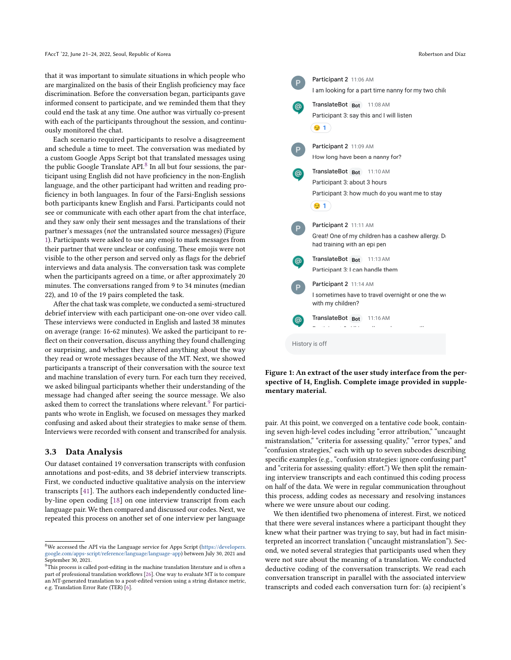that it was important to simulate situations in which people who are marginalized on the basis of their English proficiency may face discrimination. Before the conversation began, participants gave informed consent to participate, and we reminded them that they could end the task at any time. One author was virtually co-present with each of the participants throughout the session, and continuously monitored the chat.

Each scenario required participants to resolve a disagreement and schedule a time to meet. The conversation was mediated by a custom Google Apps Script bot that translated messages using the public Google Translate  $API.^8$  $API.^8$  In all but four sessions, the participant using English did not have proficiency in the non-English language, and the other participant had written and reading proficiency in both languages. In four of the Farsi-English sessions both participants knew English and Farsi. Participants could not see or communicate with each other apart from the chat interface, and they saw only their sent messages and the translations of their partner's messages (not the untranslated source messages) (Figure [1\)](#page-3-1). Participants were asked to use any emoji to mark messages from their partner that were unclear or confusing. These emojis were not visible to the other person and served only as flags for the debrief interviews and data analysis. The conversation task was complete when the participants agreed on a time, or after approximately 20 minutes. The conversations ranged from 9 to 34 minutes (median 22), and 10 of the 19 pairs completed the task.

After the chat task was complete, we conducted a semi-structured debrief interview with each participant one-on-one over video call. These interviews were conducted in English and lasted 38 minutes on average (range: 16-62 minutes). We asked the participant to reflect on their conversation, discuss anything they found challenging or surprising, and whether they altered anything about the way they read or wrote messages because of the MT. Next, we showed participants a transcript of their conversation with the source text and machine translation of every turn. For each turn they received, we asked bilingual participants whether their understanding of the message had changed after seeing the source message. We also asked them to correct the translations where relevant.<sup>[9](#page-3-2)</sup> For participants who wrote in English, we focused on messages they marked confusing and asked about their strategies to make sense of them. Interviews were recorded with consent and transcribed for analysis.

#### 3.3 Data Analysis

Our dataset contained 19 conversation transcripts with confusion annotations and post-edits, and 38 debrief interview transcripts. First, we conducted inductive qualitative analysis on the interview transcripts [\[41\]](#page-10-18). The authors each independently conducted lineby-line open coding [\[18\]](#page-10-19) on one interview transcript from each language pair. We then compared and discussed our codes. Next, we repeated this process on another set of one interview per language

<span id="page-3-1"></span>

Figure 1: An extract of the user study interface from the perspective of I4, English. Complete image provided in supplementary material.

pair. At this point, we converged on a tentative code book, containing seven high-level codes including "error attribution," "uncaught mistranslation," "criteria for assessing quality," "error types," and "confusion strategies," each with up to seven subcodes describing specific examples (e.g., "confusion strategies: ignore confusing part" and "criteria for assessing quality: effort.") We then split the remaining interview transcripts and each continued this coding process on half of the data. We were in regular communication throughout this process, adding codes as necessary and resolving instances where we were unsure about our coding.

We then identified two phenomena of interest. First, we noticed that there were several instances where a participant thought they knew what their partner was trying to say, but had in fact misinterpreted an incorrect translation ("uncaught mistranslation"). Second, we noted several strategies that participants used when they were not sure about the meaning of a translation. We conducted deductive coding of the conversation transcripts. We read each conversation transcript in parallel with the associated interview transcripts and coded each conversation turn for: (a) recipient's

<span id="page-3-0"></span> $^8\rm{We}$  accessed the API via the Language service for Apps Script [\(https://developers.](https://developers.google.com/apps-script/reference/language/language-app) [google.com/apps-script/reference/language/language-app\)](https://developers.google.com/apps-script/reference/language/language-app) between July 30, 2021 and September 30, 2021.

<span id="page-3-2"></span> $9$ This process is called post-editing in the machine translation literature and is often a part of professional translation workflows [\[26\]](#page-10-20). One way to evaluate MT is to compare an MT-generated translation to a post-edited version using a string distance metric, e.g. Translation Error Rate (TER) [\[6\]](#page-9-2).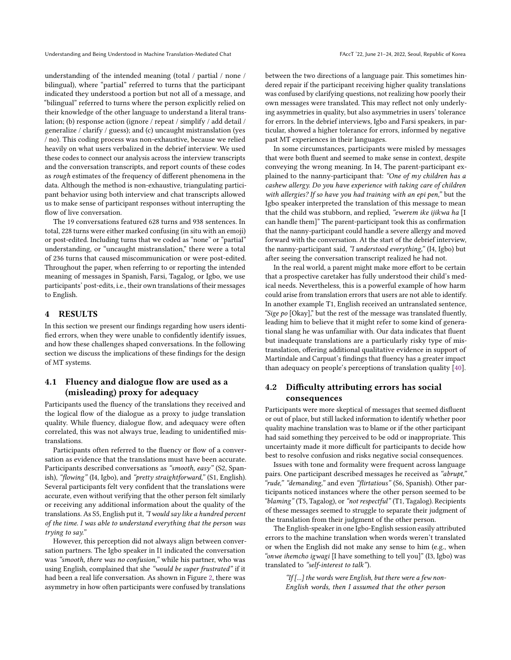understanding of the intended meaning (total / partial / none / bilingual), where "partial" referred to turns that the participant indicated they understood a portion but not all of a message, and "bilingual" referred to turns where the person explicitly relied on their knowledge of the other language to understand a literal translation; (b) response action (ignore / repeat / simplify / add detail / generalize / clarify / guess); and (c) uncaught mistranslation (yes / no). This coding process was non-exhaustive, because we relied heavily on what users verbalized in the debrief interview. We used these codes to connect our analysis across the interview transcripts and the conversation transcripts, and report counts of these codes as rough estimates of the frequency of different phenomena in the data. Although the method is non-exhaustive, triangulating participant behavior using both interview and chat transcripts allowed us to make sense of participant responses without interrupting the flow of live conversation.

The 19 conversations featured 628 turns and 938 sentences. In total, 228 turns were either marked confusing (in situ with an emoji) or post-edited. Including turns that we coded as "none" or "partial" understanding, or "uncaught mistranslation," there were a total of 236 turns that caused miscommunication or were post-edited. Throughout the paper, when referring to or reporting the intended meaning of messages in Spanish, Farsi, Tagalog, or Igbo, we use participants' post-edits, i.e., their own translations of their messages to English.

### 4 RESULTS

In this section we present our findings regarding how users identified errors, when they were unable to confidently identify issues, and how these challenges shaped conversations. In the following section we discuss the implications of these findings for the design of MT systems.

# 4.1 Fluency and dialogue flow are used as a (misleading) proxy for adequacy

Participants used the fluency of the translations they received and the logical flow of the dialogue as a proxy to judge translation quality. While fluency, dialogue flow, and adequacy were often correlated, this was not always true, leading to unidentified mistranslations.

Participants often referred to the fluency or flow of a conversation as evidence that the translations must have been accurate. Participants described conversations as "smooth, easy" (S2, Spanish), "flowing" (I4, Igbo), and "pretty straightforward," (S1, English). Several participants felt very confident that the translations were accurate, even without verifying that the other person felt similarly or receiving any additional information about the quality of the translations. As S5, English put it, "I would say like a hundred percent of the time. I was able to understand everything that the person was trying to say."

However, this perception did not always align between conversation partners. The Igbo speaker in I1 indicated the conversation was "smooth, there was no confusion," while his partner, who was using English, complained that she "would be super frustrated" if it had been a real life conversation. As shown in Figure [2,](#page-5-0) there was asymmetry in how often participants were confused by translations

between the two directions of a language pair. This sometimes hindered repair if the participant receiving higher quality translations was confused by clarifying questions, not realizing how poorly their own messages were translated. This may reflect not only underlying asymmetries in quality, but also asymmetries in users' tolerance for errors. In the debrief interviews, Igbo and Farsi speakers, in particular, showed a higher tolerance for errors, informed by negative past MT experiences in their languages.

In some circumstances, participants were misled by messages that were both fluent and seemed to make sense in context, despite conveying the wrong meaning. In I4, The parent-participant explained to the nanny-participant that: "One of my children has a cashew allergy. Do you have experience with taking care of children with allergies? If so have you had training with an epi pen," but the Igbo speaker interpreted the translation of this message to mean that the child was stubborn, and replied, "ewerem ike ijikwa ha [I can handle them]" The parent-participant took this as confirmation that the nanny-participant could handle a severe allergy and moved forward with the conversation. At the start of the debrief interview, the nanny-participant said, "I understood everything," (I4, Igbo) but after seeing the conversation transcript realized he had not.

In the real world, a parent might make more effort to be certain that a prospective caretaker has fully understood their child's medical needs. Nevertheless, this is a powerful example of how harm could arise from translation errors that users are not able to identify. In another example T1, English received an untranslated sentence, "Sige po [Okay]," but the rest of the message was translated fluently, leading him to believe that it might refer to some kind of generational slang he was unfamiliar with. Our data indicates that fluent but inadequate translations are a particularly risky type of mistranslation, offering additional qualitative evidence in support of Martindale and Carpuat's findings that fluency has a greater impact than adequacy on people's perceptions of translation quality [\[40\]](#page-10-10).

# 4.2 Difficulty attributing errors has social consequences

Participants were more skeptical of messages that seemed disfluent or out of place, but still lacked information to identify whether poor quality machine translation was to blame or if the other participant had said something they perceived to be odd or inappropriate. This uncertainty made it more difficult for participants to decide how best to resolve confusion and risks negative social consequences.

Issues with tone and formality were frequent across language pairs. One participant described messages he received as "abrupt," "rude," "demanding," and even "flirtatious" (S6, Spanish). Other participants noticed instances where the other person seemed to be "blaming" (T5, Tagalog), or "not respectful" (T1, Tagalog). Recipients of these messages seemed to struggle to separate their judgment of the translation from their judgment of the other person.

The English-speaker in one Igbo-English session easily attributed errors to the machine translation when words weren't translated or when the English did not make any sense to him (e.g., when "onwe ihemcho igwagi [I have something to tell you]" (I3, Igbo) was translated to "self-interest to talk").

> "If [...] the words were English, but there were a few non-English words, then I assumed that the other person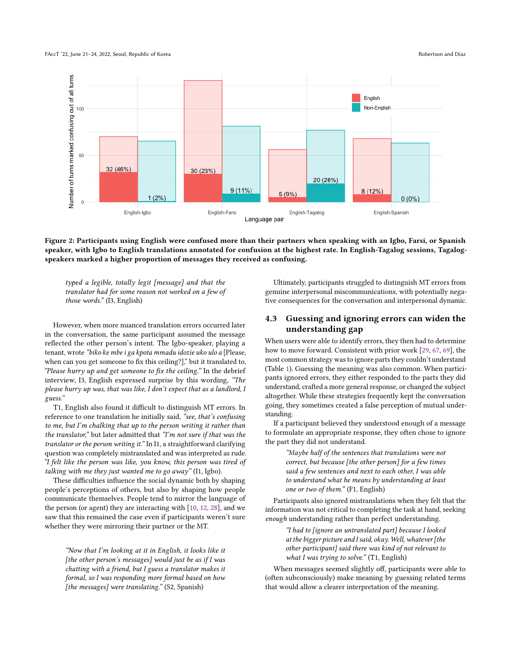#### FAccT '22, June 21–24, 2022, Seoul, Republic of Korea Robertson and Díaz

<span id="page-5-0"></span>

Figure 2: Participants using English were confused more than their partners when speaking with an Igbo, Farsi, or Spanish speaker, with Igbo to English translations annotated for confusion at the highest rate. In English-Tagalog sessions, Tagalogspeakers marked a higher proportion of messages they received as confusing.

typed a legible, totally legit [message] and that the translator had for some reason not worked on a few of those words." (I3, English)

However, when more nuanced translation errors occurred later in the conversation, the same participant assumed the message reflected the other person's intent. The Igbo-speaker, playing a tenant, wrote "biko ke mbe i ga kpota mmadu idozie uko ulo a [Please, when can you get someone to fix this ceiling?]," but it translated to, "Please hurry up and get someone to fix the ceiling." In the debrief interview, I3, English expressed surprise by this wording, "The please hurry up was, that was like, I don't expect that as a landlord, I guess."

T1, English also found it difficult to distinguish MT errors. In reference to one translation he initially said, "see, that's confusing to me, but I'm chalking that up to the person writing it rather than the translator," but later admitted that "I'm not sure if that was the translator or the person writing it." In I1, a straightforward clarifying question was completely mistranslated and was interpreted as rude. "I felt like the person was like, you know, this person was tired of talking with me they just wanted me to go away" (I1, Igbo).

These difficulties influence the social dynamic both by shaping people's perceptions of others, but also by shaping how people communicate themselves. People tend to mirror the language of the person (or agent) they are interacting with [\[10,](#page-10-21) [12,](#page-10-22) [28\]](#page-10-23), and we saw that this remained the case even if participants weren't sure whether they were mirroring their partner or the MT.

"Now that I'm looking at it in English, it looks like it [the other person's messages] would just be as if I was chatting with a friend, but I guess a translator makes it formal, so I was responding more formal based on how [the messages] were translating." (S2, Spanish)

Ultimately, participants struggled to distinguish MT errors from genuine interpersonal miscommunications, with potentially negative consequences for the conversation and interpersonal dynamic.

## 4.3 Guessing and ignoring errors can widen the understanding gap

When users were able to identify errors, they then had to determine how to move forward. Consistent with prior work [\[29,](#page-10-3) [67,](#page-11-13) [69\]](#page-11-3), the most common strategy was to ignore parts they couldn't understand (Table [1\)](#page-6-0). Guessing the meaning was also common. When participants ignored errors, they either responded to the parts they did understand, crafted a more general response, or changed the subject altogether. While these strategies frequently kept the conversation going, they sometimes created a false perception of mutual understanding.

If a participant believed they understood enough of a message to formulate an appropriate response, they often chose to ignore the part they did not understand.

> "Maybe half of the sentences that translations were not correct, but because [the other person] for a few times said a few sentences and next to each other, I was able to understand what he means by understanding at least one or two of them." (F1, English)

Participants also ignored mistranslations when they felt that the information was not critical to completing the task at hand, seeking enough understanding rather than perfect understanding.

> "I had to [ignore an untranslated part] because I looked at the bigger picture and I said, okay. Well, whatever [the other participant] said there was kind of not relevant to what I was trying to solve." (T1, English)

When messages seemed slightly off, participants were able to (often subconsciously) make meaning by guessing related terms that would allow a clearer interpretation of the meaning.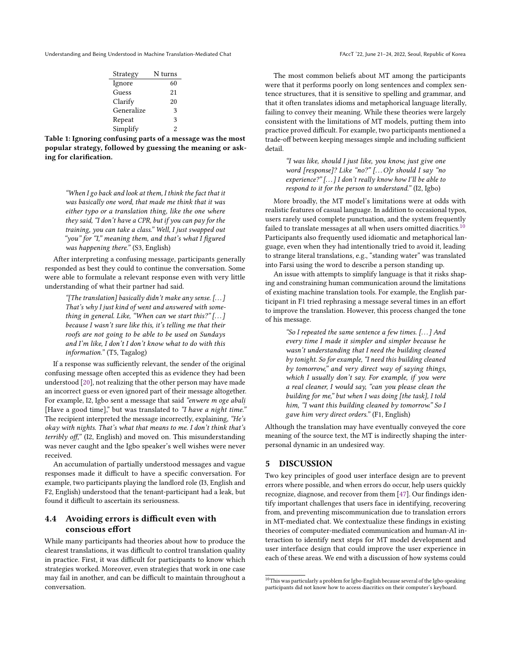<span id="page-6-0"></span>

| Strategy   | N turns        |
|------------|----------------|
| Ignore     | 60             |
| Guess      | 21             |
| Clarify    | 20             |
| Generalize | 3              |
| Repeat     | 3              |
| Simplify   | $\mathfrak{D}$ |

Table 1: Ignoring confusing parts of a message was the most popular strategy, followed by guessing the meaning or asking for clarification.

"When I go back and look at them, I think the fact that it was basically one word, that made me think that it was either typo or a translation thing, like the one where they said, "I don't have a CPR, but if you can pay for the training, you can take a class." Well, I just swapped out "you" for "I," meaning them, and that's what I figured was happening there." (S3, English)

After interpreting a confusing message, participants generally responded as best they could to continue the conversation. Some were able to formulate a relevant response even with very little understanding of what their partner had said.

"[The translation] basically didn't make any sense. [. . . ] That's why I just kind of went and answered with something in general. Like, "When can we start this?"  $[...]$ because I wasn't sure like this, it's telling me that their roofs are not going to be able to be used on Sundays and I'm like, I don't I don't know what to do with this information." (T5, Tagalog)

If a response was sufficiently relevant, the sender of the original confusing message often accepted this as evidence they had been understood [\[20\]](#page-10-24), not realizing that the other person may have made an incorrect guess or even ignored part of their message altogether. For example, I2, Igbo sent a message that said "enwere m oge abali [Have a good time]," but was translated to "I have a night time." The recipient interpreted the message incorrectly, explaining, "He's okay with nights. That's what that means to me. I don't think that's terribly off," (I2, English) and moved on. This misunderstanding was never caught and the Igbo speaker's well wishes were never received.

An accumulation of partially understood messages and vague responses made it difficult to have a specific conversation. For example, two participants playing the landlord role (I3, English and F2, English) understood that the tenant-participant had a leak, but found it difficult to ascertain its seriousness.

# 4.4 Avoiding errors is difficult even with conscious effort

While many participants had theories about how to produce the clearest translations, it was difficult to control translation quality in practice. First, it was difficult for participants to know which strategies worked. Moreover, even strategies that work in one case may fail in another, and can be difficult to maintain throughout a conversation.

The most common beliefs about MT among the participants were that it performs poorly on long sentences and complex sentence structures, that it is sensitive to spelling and grammar, and that it often translates idioms and metaphorical language literally, failing to convey their meaning. While these theories were largely consistent with the limitations of MT models, putting them into practice proved difficult. For example, two participants mentioned a trade-off between keeping messages simple and including sufficient detail.

> "I was like, should I just like, you know, just give one word [response]? Like "no?" [...O]r should I say "no experience?" [...] I don't really know how I'll be able to respond to it for the person to understand." (I2, Igbo)

More broadly, the MT model's limitations were at odds with realistic features of casual language. In addition to occasional typos, users rarely used complete punctuation, and the system frequently failed to translate messages at all when users omitted diacritics. $10$ Participants also frequently used idiomatic and metaphorical language, even when they had intentionally tried to avoid it, leading to strange literal translations, e.g., "standing water" was translated into Farsi using the word to describe a person standing up.

An issue with attempts to simplify language is that it risks shaping and constraining human communication around the limitations of existing machine translation tools. For example, the English participant in F1 tried rephrasing a message several times in an effort to improve the translation. However, this process changed the tone of his message.

"So I repeated the same sentence a few times. [. . . ] And every time I made it simpler and simpler because he wasn't understanding that I need the building cleaned by tonight. So for example, "I need this building cleaned by tomorrow," and very direct way of saying things, which I usually don't say. For example, if you were a real cleaner, I would say, "can you please clean the building for me," but when I was doing [the task], I told him, "I want this building cleaned by tomorrow." So I gave him very direct orders." (F1, English)

Although the translation may have eventually conveyed the core meaning of the source text, the MT is indirectly shaping the interpersonal dynamic in an undesired way.

#### 5 DISCUSSION

Two key principles of good user interface design are to prevent errors where possible, and when errors do occur, help users quickly recognize, diagnose, and recover from them [\[47\]](#page-11-14). Our findings identify important challenges that users face in identifying, recovering from, and preventing miscommunication due to translation errors in MT-mediated chat. We contextualize these findings in existing theories of computer-mediated communication and human-AI interaction to identify next steps for MT model development and user interface design that could improve the user experience in each of these areas. We end with a discussion of how systems could

<span id="page-6-1"></span> $^{10}\mathrm{This}$  was particularly a problem for Igbo-English because several of the Igbo-speaking participants did not know how to access diacritics on their computer's keyboard.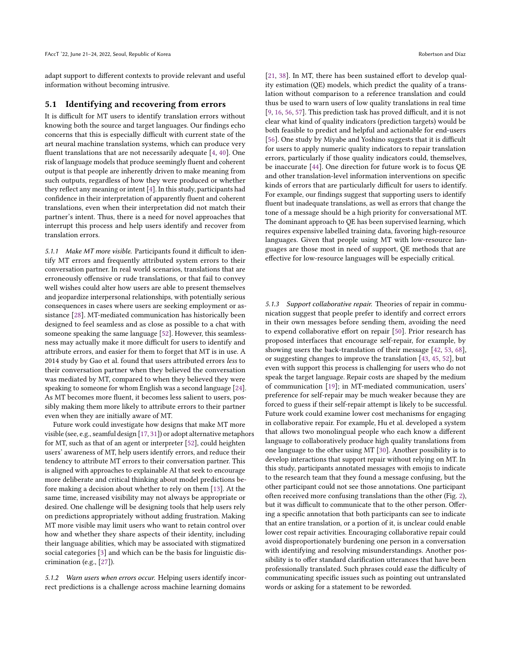adapt support to different contexts to provide relevant and useful information without becoming intrusive.

#### 5.1 Identifying and recovering from errors

It is difficult for MT users to identify translation errors without knowing both the source and target languages. Our findings echo concerns that this is especially difficult with current state of the art neural machine translation systems, which can produce very fluent translations that are not necessarily adequate [\[4,](#page-9-3) [40\]](#page-10-10). One risk of language models that produce seemingly fluent and coherent output is that people are inherently driven to make meaning from such outputs, regardless of how they were produced or whether they reflect any meaning or intent [\[4\]](#page-9-3). In this study, participants had confidence in their interpretation of apparently fluent and coherent translations, even when their interpretation did not match their partner's intent. Thus, there is a need for novel approaches that interrupt this process and help users identify and recover from translation errors.

5.1.1 Make MT more visible. Participants found it difficult to identify MT errors and frequently attributed system errors to their conversation partner. In real world scenarios, translations that are erroneously offensive or rude translations, or that fail to convey well wishes could alter how users are able to present themselves and jeopardize interpersonal relationships, with potentially serious consequences in cases where users are seeking employment or assistance [\[28\]](#page-10-23). MT-mediated communication has historically been designed to feel seamless and as close as possible to a chat with someone speaking the same language [\[52\]](#page-11-12). However, this seamlessness may actually make it more difficult for users to identify and attribute errors, and easier for them to forget that MT is in use. A 2014 study by Gao et al. found that users attributed errors less to their conversation partner when they believed the conversation was mediated by MT, compared to when they believed they were speaking to someone for whom English was a second language [\[24\]](#page-10-13). As MT becomes more fluent, it becomes less salient to users, possibly making them more likely to attribute errors to their partner even when they are initially aware of MT.

Future work could investigate how designs that make MT more visible (see, e.g., seamful design [\[17,](#page-10-25) [31\]](#page-10-26)) or adopt alternative metaphors for MT, such as that of an agent or interpreter [\[52\]](#page-11-12), could heighten users' awareness of MT, help users identify errors, and reduce their tendency to attribute MT errors to their conversation partner. This is aligned with approaches to explainable AI that seek to encourage more deliberate and critical thinking about model predictions before making a decision about whether to rely on them [\[13\]](#page-10-27). At the same time, increased visibility may not always be appropriate or desired. One challenge will be designing tools that help users rely on predictions appropriately without adding frustration. Making MT more visible may limit users who want to retain control over how and whether they share aspects of their identity, including their language abilities, which may be associated with stigmatized social categories [\[3\]](#page-9-4) and which can be the basis for linguistic discrimination (e.g., [\[27\]](#page-10-28)).

5.1.2 Warn users when errors occur. Helping users identify incorrect predictions is a challenge across machine learning domains

[\[21,](#page-10-6) [38\]](#page-10-7). In MT, there has been sustained effort to develop quality estimation (QE) models, which predict the quality of a translation without comparison to a reference translation and could thus be used to warn users of low quality translations in real time [\[9,](#page-9-5) [16,](#page-10-29) [56,](#page-11-15) [57\]](#page-11-16). This prediction task has proved difficult, and it is not clear what kind of quality indicators (prediction targets) would be both feasible to predict and helpful and actionable for end-users [\[56\]](#page-11-15). One study by Miyabe and Yoshino suggests that it is difficult for users to apply numeric quality indicators to repair translation errors, particularly if those quality indicators could, themselves, be inaccurate [\[44\]](#page-10-30). One direction for future work is to focus QE and other translation-level information interventions on specific kinds of errors that are particularly difficult for users to identify. For example, our findings suggest that supporting users to identify fluent but inadequate translations, as well as errors that change the tone of a message should be a high priority for conversational MT. The dominant approach to QE has been supervised learning, which requires expensive labelled training data, favoring high-resource languages. Given that people using MT with low-resource languages are those most in need of support, QE methods that are effective for low-resource languages will be especially critical.

5.1.3 Support collaborative repair. Theories of repair in communication suggest that people prefer to identify and correct errors in their own messages before sending them, avoiding the need to expend collaborative effort on repair [\[50\]](#page-11-17). Prior research has proposed interfaces that encourage self-repair, for example, by showing users the back-translation of their message [\[42,](#page-10-31) [53,](#page-11-18) [68\]](#page-11-10), or suggesting changes to improve the translation [\[43,](#page-10-15) [45,](#page-10-32) [52\]](#page-11-12), but even with support this process is challenging for users who do not speak the target language. Repair costs are shaped by the medium of communication [\[19\]](#page-10-16); in MT-mediated communication, users' preference for self-repair may be much weaker because they are forced to guess if their self-repair attempt is likely to be successful. Future work could examine lower cost mechanisms for engaging in collaborative repair. For example, Hu et al. developed a system that allows two monolingual people who each know a different language to collaboratively produce high quality translations from one language to the other using MT [\[30\]](#page-10-33). Another possibility is to develop interactions that support repair without relying on MT. In this study, participants annotated messages with emojis to indicate to the research team that they found a message confusing, but the other participant could not see those annotations. One participant often received more confusing translations than the other (Fig. [2\)](#page-5-0), but it was difficult to communicate that to the other person. Offering a specific annotation that both participants can see to indicate that an entire translation, or a portion of it, is unclear could enable lower cost repair activities. Encouraging collaborative repair could avoid disproportionately burdening one person in a conversation with identifying and resolving misunderstandings. Another possibility is to offer standard clarification utterances that have been professionally translated. Such phrases could ease the difficulty of communicating specific issues such as pointing out untranslated words or asking for a statement to be reworded.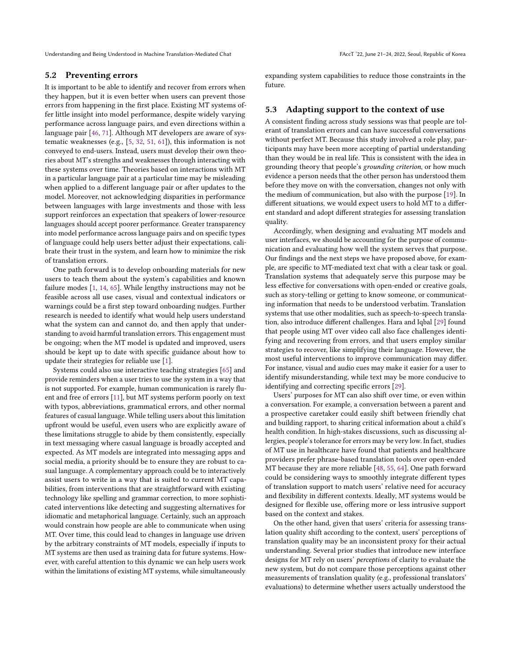#### 5.2 Preventing errors

It is important to be able to identify and recover from errors when they happen, but it is even better when users can prevent those errors from happening in the first place. Existing MT systems offer little insight into model performance, despite widely varying performance across language pairs, and even directions within a language pair [\[46,](#page-10-34) [71\]](#page-11-19). Although MT developers are aware of systematic weaknesses (e.g., [\[5,](#page-9-6) [32,](#page-10-35) [51,](#page-11-20) [61\]](#page-11-21)), this information is not conveyed to end-users. Instead, users must develop their own theories about MT's strengths and weaknesses through interacting with these systems over time. Theories based on interactions with MT in a particular language pair at a particular time may be misleading when applied to a different language pair or after updates to the model. Moreover, not acknowledging disparities in performance between languages with large investments and those with less support reinforces an expectation that speakers of lower-resource languages should accept poorer performance. Greater transparency into model performance across language pairs and on specific types of language could help users better adjust their expectations, calibrate their trust in the system, and learn how to minimize the risk of translation errors.

One path forward is to develop onboarding materials for new users to teach them about the system's capabilities and known failure modes [\[1,](#page-9-7) [14,](#page-10-4) [65\]](#page-11-22). While lengthy instructions may not be feasible across all use cases, visual and contextual indicators or warnings could be a first step toward onboarding nudges. Further research is needed to identify what would help users understand what the system can and cannot do, and then apply that understanding to avoid harmful translation errors. This engagement must be ongoing; when the MT model is updated and improved, users should be kept up to date with specific guidance about how to update their strategies for reliable use [\[1\]](#page-9-7).

Systems could also use interactive teaching strategies [\[65\]](#page-11-22) and provide reminders when a user tries to use the system in a way that is not supported. For example, human communication is rarely fluent and free of errors [\[11\]](#page-10-17), but MT systems perform poorly on text with typos, abbreviations, grammatical errors, and other normal features of casual language. While telling users about this limitation upfront would be useful, even users who are explicitly aware of these limitations struggle to abide by them consistently, especially in text messaging where casual language is broadly accepted and expected. As MT models are integrated into messaging apps and social media, a priority should be to ensure they are robust to casual language. A complementary approach could be to interactively assist users to write in a way that is suited to current MT capabilities, from interventions that are straightforward with existing technology like spelling and grammar correction, to more sophisticated interventions like detecting and suggesting alternatives for idiomatic and metaphorical language. Certainly, such an approach would constrain how people are able to communicate when using MT. Over time, this could lead to changes in language use driven by the arbitrary constraints of MT models, especially if inputs to MT systems are then used as training data for future systems. However, with careful attention to this dynamic we can help users work within the limitations of existing MT systems, while simultaneously

expanding system capabilities to reduce those constraints in the future.

#### 5.3 Adapting support to the context of use

A consistent finding across study sessions was that people are tolerant of translation errors and can have successful conversations without perfect MT. Because this study involved a role play, participants may have been more accepting of partial understanding than they would be in real life. This is consistent with the idea in grounding theory that people's grounding criterion, or how much evidence a person needs that the other person has understood them before they move on with the conversation, changes not only with the medium of communication, but also with the purpose [\[19\]](#page-10-16). In different situations, we would expect users to hold MT to a different standard and adopt different strategies for assessing translation quality.

Accordingly, when designing and evaluating MT models and user interfaces, we should be accounting for the purpose of communication and evaluating how well the system serves that purpose. Our findings and the next steps we have proposed above, for example, are specific to MT-mediated text chat with a clear task or goal. Translation systems that adequately serve this purpose may be less effective for conversations with open-ended or creative goals, such as story-telling or getting to know someone, or communicating information that needs to be understood verbatim. Translation systems that use other modalities, such as speech-to-speech translation, also introduce different challenges. Hara and Iqbal [\[29\]](#page-10-3) found that people using MT over video call also face challenges identifying and recovering from errors, and that users employ similar strategies to recover, like simplifying their language. However, the most useful interventions to improve communication may differ. For instance, visual and audio cues may make it easier for a user to identify misunderstanding, while text may be more conducive to identifying and correcting specific errors [\[29\]](#page-10-3).

Users' purposes for MT can also shift over time, or even within a conversation. For example, a conversation between a parent and a prospective caretaker could easily shift between friendly chat and building rapport, to sharing critical information about a child's health condition. In high-stakes discussions, such as discussing allergies, people's tolerance for errors may be very low. In fact, studies of MT use in healthcare have found that patients and healthcare providers prefer phrase-based translation tools over open-ended MT because they are more reliable [\[48,](#page-11-23) [55,](#page-11-24) [64\]](#page-11-25). One path forward could be considering ways to smoothly integrate different types of translation support to match users' relative need for accuracy and flexibility in different contexts. Ideally, MT systems would be designed for flexible use, offering more or less intrusive support based on the context and stakes.

On the other hand, given that users' criteria for assessing translation quality shift according to the context, users' perceptions of translation quality may be an inconsistent proxy for their actual understanding. Several prior studies that introduce new interface designs for MT rely on users' perceptions of clarity to evaluate the new system, but do not compare those perceptions against other measurements of translation quality (e.g., professional translators' evaluations) to determine whether users actually understood the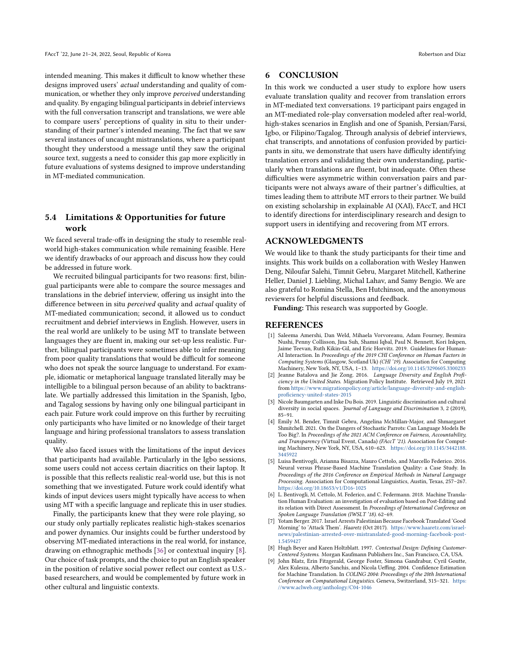intended meaning. This makes it difficult to know whether these designs improved users' actual understanding and quality of communication, or whether they only improve perceived understanding and quality. By engaging bilingual participants in debrief interviews with the full conversation transcript and translations, we were able to compare users' perceptions of quality in situ to their understanding of their partner's intended meaning. The fact that we saw several instances of uncaught mistranslations, where a participant thought they understood a message until they saw the original source text, suggests a need to consider this gap more explicitly in future evaluations of systems designed to improve understanding in MT-mediated communication.

# 5.4 Limitations & Opportunities for future work

We faced several trade-offs in designing the study to resemble realworld high-stakes communication while remaining feasible. Here we identify drawbacks of our approach and discuss how they could be addressed in future work.

We recruited bilingual participants for two reasons: first, bilingual participants were able to compare the source messages and translations in the debrief interview, offering us insight into the difference between in situ perceived quality and actual quality of MT-mediated communication; second, it allowed us to conduct recruitment and debrief interviews in English. However, users in the real world are unlikely to be using MT to translate between languages they are fluent in, making our set-up less realistic. Further, bilingual participants were sometimes able to infer meaning from poor quality translations that would be difficult for someone who does not speak the source language to understand. For example, idiomatic or metaphorical language translated literally may be intelligible to a bilingual person because of an ability to backtranslate. We partially addressed this limitation in the Spanish, Igbo, and Tagalog sessions by having only one bilingual participant in each pair. Future work could improve on this further by recruiting only participants who have limited or no knowledge of their target language and hiring professional translators to assess translation quality.

We also faced issues with the limitations of the input devices that participants had available. Particularly in the Igbo sessions, some users could not access certain diacritics on their laptop. It is possible that this reflects realistic real-world use, but this is not something that we investigated. Future work could identify what kinds of input devices users might typically have access to when using MT with a specific language and replicate this in user studies.

Finally, the participants knew that they were role playing, so our study only partially replicates realistic high-stakes scenarios and power dynamics. Our insights could be further understood by observing MT-mediated interactions in the real world, for instance, drawing on ethnographic methods [\[36\]](#page-10-36) or contextual inquiry [\[8\]](#page-9-8). Our choice of task prompts, and the choice to put an English speaker in the position of relative social power reflect our context as U.S. based researchers, and would be complemented by future work in other cultural and linguistic contexts.

### 6 CONCLUSION

In this work we conducted a user study to explore how users evaluate translation quality and recover from translation errors in MT-mediated text conversations. 19 participant pairs engaged in an MT-mediated role-play conversation modeled after real-world, high-stakes scenarios in English and one of Spanish, Persian/Farsi, Igbo, or Filipino/Tagalog. Through analysis of debrief interviews, chat transcripts, and annotations of confusion provided by participants in situ, we demonstrate that users have difficulty identifying translation errors and validating their own understanding, particularly when translations are fluent, but inadequate. Often these difficulties were asymmetric within conversation pairs and participants were not always aware of their partner's difficulties, at times leading them to attribute MT errors to their partner. We build on existing scholarship in explainable AI (XAI), FAccT, and HCI to identify directions for interdisciplinary research and design to support users in identifying and recovering from MT errors.

#### ACKNOWLEDGMENTS

We would like to thank the study participants for their time and insights. This work builds on a collaboration with Wesley Hanwen Deng, Niloufar Salehi, Timnit Gebru, Margaret Mitchell, Katherine Heller, Daniel J. Liebling, Michal Lahav, and Samy Bengio. We are also grateful to Romina Stella, Ben Hutchinson, and the anonymous reviewers for helpful discussions and feedback.

Funding: This research was supported by Google.

#### REFERENCES

- <span id="page-9-7"></span>[1] Saleema Amershi, Dan Weld, Mihaela Vorvoreanu, Adam Fourney, Besmira Nushi, Penny Collisson, Jina Suh, Shamsi Iqbal, Paul N. Bennett, Kori Inkpen, Jaime Teevan, Ruth Kikin-Gil, and Eric Horvitz. 2019. Guidelines for Human-AI Interaction. In Proceedings of the 2019 CHI Conference on Human Factors in Computing Systems (Glasgow, Scotland Uk) (CHI '19). Association for Computing Machinery, New York, NY, USA, 1–13. <https://doi.org/10.1145/3290605.3300233>
- <span id="page-9-0"></span>[2] Jeanne Batalova and Jie Zong. 2016. Language Diversity and English Proficiency in the United States. Migration Policy Institute. Retrieved July 19, 2021 from [https://www.migrationpolicy.org/article/language-diversity-and-english](https://www.migrationpolicy.org/article/language-diversity-and-english-proficiency-united-states-2015)[proficiency-united-states-2015](https://www.migrationpolicy.org/article/language-diversity-and-english-proficiency-united-states-2015)
- <span id="page-9-4"></span>[3] Nicole Baumgarten and Inke Du Bois. 2019. Linguistic discrimination and cultural diversity in social spaces. Journal of Language and Discrimination 3, 2 (2019), 85–91.
- <span id="page-9-3"></span>[4] Emily M. Bender, Timnit Gebru, Angelina McMillan-Major, and Shmargaret Shmitchell. 2021. On the Dangers of Stochastic Parrots: Can Language Models Be Too Big?. In Proceedings of the 2021 ACM Conference on Fairness, Accountability, and Transparency (Virtual Event, Canada) (FAccT '21). Association for Computing Machinery, New York, NY, USA, 610–623. [https://doi.org/10.1145/3442188.](https://doi.org/10.1145/3442188.3445922) [3445922](https://doi.org/10.1145/3442188.3445922)
- <span id="page-9-6"></span>[5] Luisa Bentivogli, Arianna Bisazza, Mauro Cettolo, and Marcello Federico. 2016. Neural versus Phrase-Based Machine Translation Quality: a Case Study. In Proceedings of the 2016 Conference on Empirical Methods in Natural Language Processing. Association for Computational Linguistics, Austin, Texas, 257–267. <https://doi.org/10.18653/v1/D16-1025>
- <span id="page-9-2"></span>[6] L. Bentivogli, M. Cettolo, M. Federico, and C. Federmann. 2018. Machine Translation Human Evaluation: an investigation of evaluation based on Post-Editing and its relation with Direct Assessment. In Proceedings of International Conference on Spoken Language Translation (IWSLT '18). 62–69.
- <span id="page-9-1"></span>[7] Yotam Berger. 2017. Israel Arrests Palestinian Because Facebook Translated 'Good Morning' to 'Attack Them'. Haaretz (Oct 2017). [https://www.haaretz.com/israel](https://www.haaretz.com/israel-news/palestinian-arrested-over-mistranslated-good-morning-facebook-post-1.5459427)[news/palestinian-arrested-over-mistranslated-good-morning-facebook-post-](https://www.haaretz.com/israel-news/palestinian-arrested-over-mistranslated-good-morning-facebook-post-1.5459427)[1.5459427](https://www.haaretz.com/israel-news/palestinian-arrested-over-mistranslated-good-morning-facebook-post-1.5459427)
- <span id="page-9-8"></span>[8] Hugh Beyer and Karen Holtzblatt. 1997. Contextual Design: Defining Customer-Centered Systems. Morgan Kaufmann Publishers Inc., San Francisco, CA, USA.
- <span id="page-9-5"></span>John Blatz, Erin Fitzgerald, George Foster, Simona Gandrabur, Cyril Goutte, Alex Kulesza, Alberto Sanchis, and Nicola Ueffing. 2004. Confidence Estimation for Machine Translation. In COLING 2004: Proceedings of the 20th International Conference on Computational Linguistics. Geneva, Switzerland, 315–321. [https:](https://www.aclweb.org/anthology/C04-1046) [//www.aclweb.org/anthology/C04-1046](https://www.aclweb.org/anthology/C04-1046)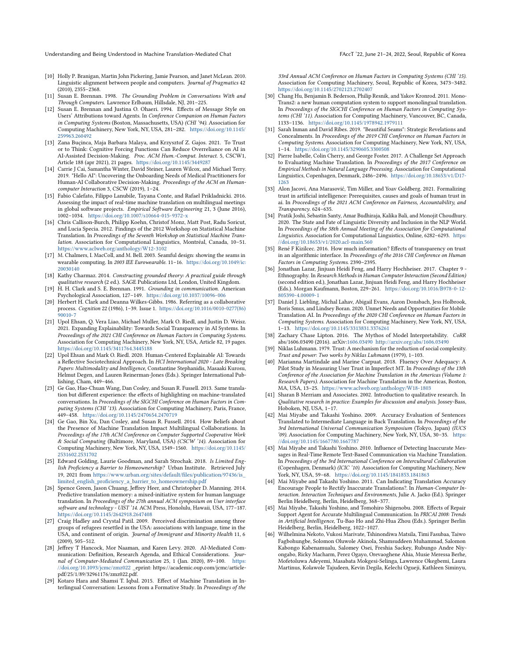- <span id="page-10-21"></span>[10] Holly P. Branigan, Martin John Pickering, Jamie Pearson, and Janet McLean. 2010. Linguistic alignment between people and computers. Journal of Pragmatics 42 (2010), 2355–2368.
- <span id="page-10-17"></span>[11] Susan E. Brennan. 1998. The Grounding Problem in Conversations With and Through Computers. Lawrence Erlbaum, Hillsdale, NJ, 201–225.
- <span id="page-10-22"></span>[12] Susan E. Brennan and Justina O. Ohaeri. 1994. Effects of Message Style on Users' Attributions toward Agents. In Conference Companion on Human Factors in Computing Systems (Boston, Massachusetts, USA) (CHI '94). Association for Computing Machinery, New York, NY, USA, 281–282. [https://doi.org/10.1145/](https://doi.org/10.1145/259963.260492) [259963.260492](https://doi.org/10.1145/259963.260492)
- <span id="page-10-27"></span>[13] Zana Buçinca, Maja Barbara Malaya, and Krzysztof Z. Gajos. 2021. To Trust or to Think: Cognitive Forcing Functions Can Reduce Overreliance on AI in AI-Assisted Decision-Making. Proc. ACM Hum.-Comput. Interact. 5, CSCW1, Article 188 (apr 2021), 21 pages. <https://doi.org/10.1145/3449287>
- <span id="page-10-4"></span>[14] Carrie J Cai, Samantha Winter, David Steiner, Lauren Wilcox, and Michael Terry. 2019. "Hello AI": Uncovering the Onboarding Needs of Medical Practitioners for Human-AI Collaborative Decision-Making. Proceedings of the ACM on Humancomputer Interaction 3, CSCW (2019), 1–24.
- <span id="page-10-12"></span>[15] Fabio Calefato, Filippo Lanubile, Tayana Conte, and Rafael Prikladnicki. 2016. Assessing the impact of real-time machine translation on multilingual meetings in global software projects. Empirical Software Engineering 21, 3 (June 2016), 1002–1034. <https://doi.org/10.1007/s10664-015-9372-x>
- <span id="page-10-29"></span>[16] Chris Callison-Burch, Philipp Koehn, Christof Monz, Matt Post, Radu Soricut, and Lucia Specia. 2012. Findings of the 2012 Workshop on Statistical Machine Translation. In Proceedings of the Seventh Workshop on Statistical Machine Translation. Association for Computational Linguistics, Montréal, Canada, 10–51. <https://www.aclweb.org/anthology/W12-3102>
- <span id="page-10-25"></span>[17] M. Chalmers, I. MacColl, and M. Bell. 2003. Seamful design: showing the seams in wearable computing. In 2003 IEE Eurowearable. 11–16. [https://doi.org/10.1049/ic:](https://doi.org/10.1049/ic:20030140) [20030140](https://doi.org/10.1049/ic:20030140)
- <span id="page-10-19"></span>[18] Kathy Charmaz. 2014. Constructing grounded theory: A practical guide through qualitative research (2 ed.). SAGE Publications Ltd, London, United Kingdom.
- <span id="page-10-16"></span>[19] H. H. Clark and S. E. Brennan. 1991. Grounding in communication. American Psychological Association, 127–149. <https://doi.org/10.1037/10096-006>
- <span id="page-10-24"></span>[20] Herbert H. Clark and Deanna Wilkes-Gibbs. 1986. Referring as a collaborative process. Cognition 22 (1986), 1–39. Issue 1. [https://doi.org/10.1016/0010-0277\(86\)](https://doi.org/10.1016/0010-0277(86)90010-7) [90010-7](https://doi.org/10.1016/0010-0277(86)90010-7)
- <span id="page-10-6"></span>[21] Upol Ehsan, Q. Vera Liao, Michael Muller, Mark O. Riedl, and Justin D. Weisz. 2021. Expanding Explainability: Towards Social Transparency in AI Systems. In Proceedings of the 2021 CHI Conference on Human Factors in Computing Systems. Association for Computing Machinery, New York, NY, USA, Article 82, 19 pages. <https://doi.org/10.1145/3411764.3445188>
- <span id="page-10-11"></span>[22] Upol Ehsan and Mark O. Riedl. 2020. Human-Centered Explainable AI: Towards a Reflective Sociotechnical Approach. In HCI International 2020 - Late Breaking Papers: Multimodality and Intelligence, Constantine Stephanidis, Masaaki Kurosu, Helmut Degen, and Lauren Reinerman-Jones (Eds.). Springer International Publishing, Cham, 449–466.
- <span id="page-10-14"></span>[23] Ge Gao, Hao-Chuan Wang, Dan Cosley, and Susan R. Fussell. 2013. Same translation but different experience: the effects of highlighting on machine-translated conversations. In Proceedings of the SIGCHI Conference on Human Factors in Computing Systems (CHI '13). Association for Computing Machinery, Paris, France, 449–458. <https://doi.org/10.1145/2470654.2470719>
- <span id="page-10-13"></span>[24] Ge Gao, Bin Xu, Dan Cosley, and Susan R. Fussell. 2014. How Beliefs about the Presence of Machine Translation Impact Multilingual Collaborations. In Proceedings of the 17th ACM Conference on Computer Supported Cooperative Work & Social Computing (Baltimore, Maryland, USA) (CSCW '14). Association for Computing Machinery, New York, NY, USA, 1549–1560. [https://doi.org/10.1145/](https://doi.org/10.1145/2531602.2531702) [2531602.2531702](https://doi.org/10.1145/2531602.2531702)
- <span id="page-10-0"></span>[25] Edward Golding, Laurie Goodman, and Sarah Strochak. 2018. Is Limited English Proficiency a Barrier to Homeownership? Urban Institute. Retrieved July 19, 2021 from [https://www.urban.org/sites/default/files/publication/97436/is\\_](https://www.urban.org/sites/default/files/publication/97436/is_limited_english_proficiency_a_barrier_to_homeownership.pdf) [limited\\_english\\_proficiency\\_a\\_barrier\\_to\\_homeownership.pdf](https://www.urban.org/sites/default/files/publication/97436/is_limited_english_proficiency_a_barrier_to_homeownership.pdf)
- <span id="page-10-20"></span>[26] Spence Green, Jason Chuang, Jeffrey Heer, and Christopher D. Manning. 2014. Predictive translation memory: a mixed-initiative system for human language translation. In Proceedings of the 27th annual ACM symposium on User interface software and technology - UIST '14. ACM Press, Honolulu, Hawaii, USA, 177–187. <https://doi.org/10.1145/2642918.2647408>
- <span id="page-10-28"></span>[27] Craig Hadley and Crystal Patil. 2009. Perceived discrimination among three groups of refugees resettled in the USA: associations with language, time in the USA, and continent of origin. Journal of Immigrant and Minority Health 11, 6 (2009), 505–512.
- <span id="page-10-23"></span>[28] Jeffrey T Hancock, Mor Naaman, and Karen Levy. 2020. AI-Mediated Communication: Definition, Research Agenda, and Ethical Considerations. Journal of Computer-Mediated Communication 25, 1 (Jan. 2020), 89–100. [https:](https://doi.org/10.1093/jcmc/zmz022) [//doi.org/10.1093/jcmc/zmz022](https://doi.org/10.1093/jcmc/zmz022) \_eprint: https://academic.oup.com/jcmc/articlepdf/25/1/89/32961176/zmz022.pdf.
- <span id="page-10-3"></span>[29] Kotaro Hara and Shamsi T. Iqbal. 2015. Effect of Machine Translation in Interlingual Conversation: Lessons from a Formative Study. In Proceedings of the

33rd Annual ACM Conference on Human Factors in Computing Systems (CHI '15). Association for Computing Machinery, Seoul, Republic of Korea, 3473–3482. <https://doi.org/10.1145/2702123.2702407>

- <span id="page-10-33"></span>[30] Chang Hu, Benjamin B. Bederson, Philip Resnik, and Yakov Kronrod. 2011. Mono-Trans2: a new human computation system to support monolingual translation. In Proceedings of the SIGCHI Conference on Human Factors in Computing Systems (CHI '11). Association for Computing Machinery, Vancouver, BC, Canada, 1133–1136. <https://doi.org/10.1145/1978942.1979111>
- <span id="page-10-26"></span>[31] Sarah Inman and David Ribes. 2019. "Beautiful Seams": Strategic Revelations and Concealments. In Proceedings of the 2019 CHI Conference on Human Factors in Computing Systems. Association for Computing Machinery, New York, NY, USA, 1–14. <https://doi.org/10.1145/3290605.3300508>
- <span id="page-10-35"></span>[32] Pierre Isabelle, Colin Cherry, and George Foster. 2017. A Challenge Set Approach to Evaluating Machine Translation. In Proceedings of the 2017 Conference on Empirical Methods in Natural Language Processing. Association for Computational Linguistics, Copenhagen, Denmark, 2486–2496. [https://doi.org/10.18653/v1/D17-](https://doi.org/10.18653/v1/D17-1263) [1263](https://doi.org/10.18653/v1/D17-1263)
- <span id="page-10-8"></span>[33] Alon Jacovi, Ana Marasović, Tim Miller, and Yoav Goldberg. 2021. Formalizing trust in artificial intelligence: Prerequisites, causes and goals of human trust in ai. In Proceedings of the 2021 ACM Conference on Fairness, Accountability, and Transparency. 624–635.
- <span id="page-10-2"></span>[34] Pratik Joshi, Sebastin Santy, Amar Budhiraja, Kalika Bali, and Monojit Choudhury. 2020. The State and Fate of Linguistic Diversity and Inclusion in the NLP World. In Proceedings of the 58th Annual Meeting of the Association for Computational Linguistics. Association for Computational Linguistics, Online, 6282–6293. [https:](https://doi.org/10.18653/v1/2020.acl-main.560) [//doi.org/10.18653/v1/2020.acl-main.560](https://doi.org/10.18653/v1/2020.acl-main.560)
- <span id="page-10-5"></span>[35] René F Kizilcec. 2016. How much information? Effects of transparency on trust in an algorithmic interface. In Proceedings of the 2016 CHI Conference on Human Factors in Computing Systems. 2390–2395.
- <span id="page-10-36"></span>[36] Jonathan Lazar, Jinjuan Heidi Feng, and Harry Hochheiser. 2017. Chapter 9 - Ethnography. In Research Methods in Human Computer Interaction (Second Edition) (second edition ed.), Jonathan Lazar, Jinjuan Heidi Feng, and Harry Hochheiser (Eds.). Morgan Kaufmann, Boston, 229–261. [https://doi.org/10.1016/B978-0-12-](https://doi.org/10.1016/B978-0-12-805390-4.00009-1) [805390-4.00009-1](https://doi.org/10.1016/B978-0-12-805390-4.00009-1)
- <span id="page-10-1"></span>[37] Daniel J. Liebling, Michal Lahav, Abigail Evans, Aaron Donsbach, Jess Holbrook, Boris Smus, and Lindsey Boran. 2020. Unmet Needs and Opportunities for Mobile Translation AI. In Proceedings of the 2020 CHI Conference on Human Factors in Computing Systems. Association for Computing Machinery, New York, NY, USA, 1–13. <https://doi.org/10.1145/3313831.3376261>
- <span id="page-10-7"></span>[38] Zachary Chase Lipton. 2016. The Mythos of Model Interpretability. CoRR abs/1606.03490 (2016). arXiv[:1606.03490](https://arxiv.org/abs/1606.03490) <http://arxiv.org/abs/1606.03490>
- <span id="page-10-9"></span>[39] Niklas Luhmann. 1979. Trust: A mechanism for the reduction of social complexity. Trust and power: Two works by Niklas Luhmann (1979), 1–103.
- <span id="page-10-10"></span>[40] Marianna Martindale and Marine Carpuat. 2018. Fluency Over Adequacy: A Pilot Study in Measuring User Trust in Imperfect MT. In Proceedings of the 13th Conference of the Association for Machine Translation in the Americas (Volume 1: Research Papers). Association for Machine Translation in the Americas, Boston, MA, USA, 13–25. <https://www.aclweb.org/anthology/W18-1803>
- <span id="page-10-18"></span>[41] Sharan B Merriam and Associates. 2002. Introduction to qualitative research. In Qualitative research in practice: Examples for discussion and analysis. Jossey-Bass, Hoboken, NJ, USA, 1–17.
- <span id="page-10-31"></span>[42] Mai Miyabe and Takashi Yoshino. 2009. Accuracy Evaluation of Sentences Translated to Intermediate Language in Back Translation. In Proceedings of the 3rd International Universal Communication Symposium (Tokyo, Japan) (IUCS '09). Association for Computing Machinery, New York, NY, USA, 30–35. [https:](https://doi.org/10.1145/1667780.1667787) [//doi.org/10.1145/1667780.1667787](https://doi.org/10.1145/1667780.1667787)
- <span id="page-10-15"></span>[43] Mai Miyabe and Takashi Yoshino. 2010. Influence of Detecting Inaccurate Messages in Real-Time Remote Text-Based Communication via Machine Translation. In Proceedings of the 3rd International Conference on Intercultural Collaboration (Copenhagen, Denmark) (ICIC '10). Association for Computing Machinery, New York, NY, USA, 59–68. <https://doi.org/10.1145/1841853.1841863>
- <span id="page-10-30"></span>[44] Mai Miyabe and Takashi Yoshino. 2011. Can Indicating Translation Accuracy Encourage People to Rectify Inaccurate Translations?. In Human-Computer Interaction. Interaction Techniques and Environments, Julie A. Jacko (Ed.). Springer Berlin Heidelberg, Berlin, Heidelberg, 368–377.
- <span id="page-10-32"></span>[45] Mai Miyabe, Takashi Yoshino, and Tomohiro Shigenobu. 2008. Effects of Repair Support Agent for Accurate Multilingual Communication. In PRICAI 2008: Trends in Artificial Intelligence, Tu-Bao Ho and Zhi-Hua Zhou (Eds.). Springer Berlin Heidelberg, Berlin, Heidelberg, 1022–1027.
- <span id="page-10-34"></span>[46] Wilhelmina Nekoto, Vukosi Marivate, Tshinondiwa Matsila, Timi Fasubaa, Taiwo Fagbohungbe, Solomon Oluwole Akinola, Shamsuddeen Muhammad, Salomon Kabongo Kabenamualu, Salomey Osei, Freshia Sackey, Rubungo Andre Niyongabo, Ricky Macharm, Perez Ogayo, Orevaoghene Ahia, Musie Meressa Berhe, Mofetoluwa Adeyemi, Masabata Mokgesi-Selinga, Lawrence Okegbemi, Laura Martinus, Kolawole Tajudeen, Kevin Degila, Kelechi Ogueji, Kathleen Siminyu,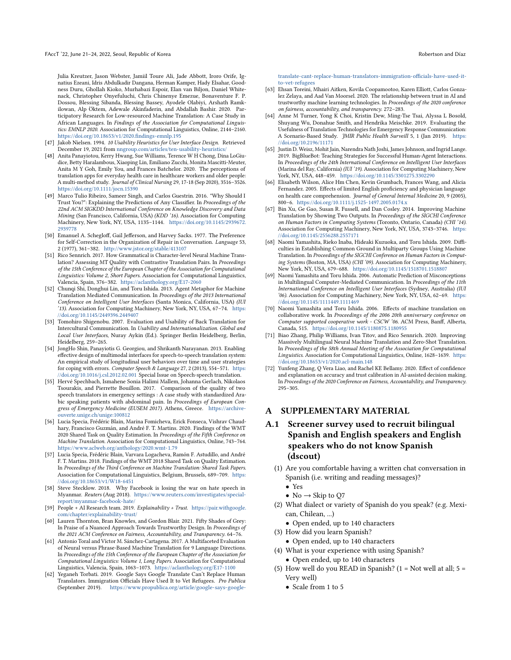Julia Kreutzer, Jason Webster, Jamiil Toure Ali, Jade Abbott, Iroro Orife, Ignatius Ezeani, Idris Abdulkadir Dangana, Herman Kamper, Hady Elsahar, Goodness Duru, Ghollah Kioko, Murhabazi Espoir, Elan van Biljon, Daniel Whitenack, Christopher Onyefuluchi, Chris Chinenye Emezue, Bonaventure F. P. Dossou, Blessing Sibanda, Blessing Bassey, Ayodele Olabiyi, Arshath Ramkilowan, Alp Öktem, Adewale Akinfaderin, and Abdallah Bashir. 2020. Participatory Research for Low-resourced Machine Translation: A Case Study in African Languages. In Findings of the Association for Computational Linguistics: EMNLP 2020. Association for Computational Linguistics, Online, 2144–2160. <https://doi.org/10.18653/v1/2020.findings-emnlp.195>

- <span id="page-11-14"></span>[47] Jakob Nielsen. 1994. 10 Usability Heuristics for User Interface Design. Retrieved December 19, 2021 from <nngroup.com/articles/ten-usability-heuristics/>
- <span id="page-11-23"></span>[48] Anita Panayiotou, Kerry Hwang, Sue Williams, Terence W H Chong, Dina LoGiudice, Betty Haralambous, Xiaoping Lin, Emiliano Zucchi, Monita Mascitti-Meuter, Anita M Y Goh, Emily You, and Frances Batchelor. 2020. The perceptions of translation apps for everyday health care in healthcare workers and older people: A multi-method study. Journal of Clinical Nursing 29, 17-18 (Sep 2020), 3516–3526. <https://doi.org/10.1111/jocn.15390>
- <span id="page-11-7"></span>[49] Marco Tulio Ribeiro, Sameer Singh, and Carlos Guestrin. 2016. "Why Should I Trust You?": Explaining the Predictions of Any Classifier. In Proceedings of the 22nd ACM SIGKDD International Conference on Knowledge Discovery and Data Mining (San Francisco, California, USA) (KDD '16). Association for Computing Machinery, New York, NY, USA, 1135–1144. [https://doi.org/10.1145/2939672.](https://doi.org/10.1145/2939672.2939778) [2939778](https://doi.org/10.1145/2939672.2939778)
- <span id="page-11-17"></span>[50] Emanuel A. Schegloff, Gail Jefferson, and Harvey Sacks. 1977. The Preference for Self-Correction in the Organization of Repair in Conversation. Language 53, 2 (1977), 361–382. <http://www.jstor.org/stable/413107>
- <span id="page-11-20"></span>[51] Rico Sennrich. 2017. How Grammatical is Character-level Neural Machine Translation? Assessing MT Quality with Contrastive Translation Pairs. In Proceedings of the 15th Conference of the European Chapter of the Association for Computational Linguistics: Volume 2, Short Papers. Association for Computational Linguistics, Valencia, Spain, 376–382. <https://aclanthology.org/E17-2060>
- <span id="page-11-12"></span>[52] Chunqi Shi, Donghui Lin, and Toru Ishida. 2013. Agent Metaphor for Machine Translation Mediated Communication. In Proceedings of the 2013 International Conference on Intelligent User Interfaces (Santa Monica, California, USA) (IUI '13). Association for Computing Machinery, New York, NY, USA, 67–74. [https:](https://doi.org/10.1145/2449396.2449407) [//doi.org/10.1145/2449396.2449407](https://doi.org/10.1145/2449396.2449407)
- <span id="page-11-18"></span>[53] Tomohiro Shigenobu. 2007. Evaluation and Usability of Back Translation for Intercultural Communication. In Usability and Internationalization. Global and Local User Interfaces, Nuray Aykin (Ed.). Springer Berlin Heidelberg, Berlin, Heidelberg, 259–265.
- <span id="page-11-9"></span>[54] JongHo Shin, Panayiotis G. Georgiou, and Shrikanth Narayanan. 2013. Enabling effective design of multimodal interfaces for speech-to-speech translation system: An empirical study of longitudinal user behaviors over time and user strategies for coping with errors. Computer Speech & Language 27, 2 (2013), 554–571. [https:](https://doi.org/10.1016/j.csl.2012.02.001) [//doi.org/10.1016/j.csl.2012.02.001](https://doi.org/10.1016/j.csl.2012.02.001) Special Issue on Speech-speech translation.
- <span id="page-11-24"></span>[55] Hervé Spechbach, Ismahene Sonia Halimi Mallem, Johanna Gerlach, Nikolaos Tsourakis, and Pierrette Bouillon. 2017. Comparison of the quality of two speech translators in emergency settings : A case study with standardized Arabic speaking patients with abdominal pain. In Proceedings of European Congress of Emergency Medicine (EUSEM 2017). Athens, Greece. [https://archive](https://archive-ouverte.unige.ch/unige:100812)[ouverte.unige.ch/unige:100812](https://archive-ouverte.unige.ch/unige:100812)
- <span id="page-11-15"></span>[56] Lucia Specia, Frédéric Blain, Marina Fomicheva, Erick Fonseca, Vishrav Chaudhary, Francisco Guzmán, and André F. T. Martins. 2020. Findings of the WMT 2020 Shared Task on Quality Estimation. In Proceedings of the Fifth Conference on Machine Translation. Association for Computational Linguistics, Online, 743–764. <https://www.aclweb.org/anthology/2020.wmt-1.79>
- <span id="page-11-16"></span>[57] Lucia Specia, Frédéric Blain, Varvara Logacheva, Ramón F. Astudillo, and André F. T. Martins. 2018. Findings of the WMT 2018 Shared Task on Quality Estimation. In Proceedings of the Third Conference on Machine Translation: Shared Task Papers. Association for Computational Linguistics, Belgium, Brussels, 689–709. [https:](https://doi.org/10.18653/v1/W18-6451) [//doi.org/10.18653/v1/W18-6451](https://doi.org/10.18653/v1/W18-6451)
- <span id="page-11-1"></span>[58] Steve Stecklow. 2018. Why Facebook is losing the war on hate speech in Myanmar. Reuters (Aug 2018). [https://www.reuters.com/investigates/special](https://www.reuters.com/investigates/special-report/myanmar-facebook-hate/)[report/myanmar-facebook-hate/](https://www.reuters.com/investigates/special-report/myanmar-facebook-hate/)
- <span id="page-11-8"></span>[59] People + AI Research team. 2019. Explainability + Trust. [https://pair.withgoogle.](https://pair.withgoogle.com/chapter/explainability-trust/) [com/chapter/explainability-trust/](https://pair.withgoogle.com/chapter/explainability-trust/)
- <span id="page-11-4"></span>[60] Lauren Thornton, Bran Knowles, and Gordon Blair. 2021. Fifty Shades of Grey: In Praise of a Nuanced Approach Towards Trustworthy Design. In Proceedings of the 2021 ACM Conference on Fairness, Accountability, and Transparency. 64–76.
- <span id="page-11-21"></span>[61] Antonio Toral and Víctor M. Sánchez-Cartagena. 2017. A Multifaceted Evaluation of Neural versus Phrase-Based Machine Translation for 9 Language Directions. In Proceedings of the 15th Conference of the European Chapter of the Association for Computational Linguistics: Volume 1, Long Papers. Association for Computational Linguistics, Valencia, Spain, 1063–1073. <https://aclanthology.org/E17-1100>
- <span id="page-11-2"></span>[62] Yeganeh Torbati. 2019. Google Says Google Translate Can't Replace Human Translators. Immigration Officials Have Used It to Vet Refugees. Pro Publica<br>(September 2019). https://www.propublica.org/article/google-says-google[https://www.propublica.org/article/google-says-google-](https://www.propublica.org/article/google-says-google-translate-cant-replace-human-translators-immigration-officials-have-used-it-to-vet-refugees)

[translate-cant-replace-human-translators-immigration-officials-have-used-it](https://www.propublica.org/article/google-says-google-translate-cant-replace-human-translators-immigration-officials-have-used-it-to-vet-refugees)[to-vet-refugees](https://www.propublica.org/article/google-says-google-translate-cant-replace-human-translators-immigration-officials-have-used-it-to-vet-refugees)

- <span id="page-11-5"></span>[63] Ehsan Toreini, Mhairi Aitken, Kovila Coopamootoo, Karen Elliott, Carlos Gonzalez Zelaya, and Aad Van Moorsel. 2020. The relationship between trust in AI and trustworthy machine learning technologies. In Proceedings of the 2020 conference on fairness, accountability, and transparency. 272–283.
- <span id="page-11-25"></span>[64] Anne M Turner, Yong K Choi, Kristin Dew, Ming-Tse Tsai, Alyssa L Bosold, Shuyang Wu, Donahue Smith, and Hendrika Meischke. 2019. Evaluating the Usefulness of Translation Technologies for Emergency Response Communication: A Scenario-Based Study. JMIR Public Health Surveill 5, 1 (Jan 2019). [https:](https://doi.org/10.2196/11171) [//doi.org/10.2196/11171](https://doi.org/10.2196/11171)
- <span id="page-11-22"></span>[65] Justin D. Weisz, Mohit Jain, Narendra Nath Joshi, James Johnson, and Ingrid Lange. 2019. BigBlueBot: Teaching Strategies for Successful Human-Agent Interactions. In Proceedings of the 24th International Conference on Intelligent User Interfaces (Marina del Ray, California) (IUI '19). Association for Computing Machinery, New York, NY, USA, 448–459. <https://doi.org/10.1145/3301275.3302290>
- <span id="page-11-0"></span>[66] Elisabeth Wilson, Alice Hm Chen, Kevin Grumbach, Frances Wang, and Alicia Fernandez. 2005. Effects of limited English proficiency and physician language on health care comprehension. Journal of General Internal Medicine 20, 9 (2005), 800–6. <https://doi.org/10.1111/j.1525-1497.2005.0174.x>
- <span id="page-11-13"></span>[67] Bin Xu, Ge Gao, Susan R. Fussell, and Dan Cosley. 2014. Improving Machine Translation by Showing Two Outputs. In Proceedings of the SIGCHI Conference on Human Factors in Computing Systems (Toronto, Ontario, Canada) (CHI '14). Association for Computing Machinery, New York, NY, USA, 3743–3746. [https:](https://doi.org/10.1145/2556288.2557171) [//doi.org/10.1145/2556288.2557171](https://doi.org/10.1145/2556288.2557171)
- <span id="page-11-10"></span>[68] Naomi Yamashita, Rieko Inaba, Hideaki Kuzuoka, and Toru Ishida. 2009. Difficulties in Establishing Common Ground in Multiparty Groups Using Machine Translation. In Proceedings of the SIGCHI Conference on Human Factors in Computing Systems (Boston, MA, USA) (CHI '09). Association for Computing Machinery, New York, NY, USA, 679–688. <https://doi.org/10.1145/1518701.1518807>
- <span id="page-11-3"></span>[69] Naomi Yamashita and Toru Ishida. 2006. Automatic Prediction of Misconceptions in Multilingual Computer-Mediated Communication. In Proceedings of the 11th International Conference on Intelligent User Interfaces (Sydney, Australia) (IUI '06). Association for Computing Machinery, New York, NY, USA, 62–69. [https:](https://doi.org/10.1145/1111449.1111469) [//doi.org/10.1145/1111449.1111469](https://doi.org/10.1145/1111449.1111469)
- <span id="page-11-11"></span>[70] Naomi Yamashita and Toru Ishida. 2006. Effects of machine translation on collaborative work. In Proceedings of the 2006 20th anniversary conference on Computer supported cooperative work - CSCW '06. ACM Press, Banff, Alberta, Canada, 515. <https://doi.org/10.1145/1180875.1180955>
- <span id="page-11-19"></span>[71] Biao Zhang, Philip Williams, Ivan Titov, and Rico Sennrich. 2020. Improving Massively Multilingual Neural Machine Translation and Zero-Shot Translation. In Proceedings of the 58th Annual Meeting of the Association for Computational Linguistics. Association for Computational Linguistics, Online, 1628–1639. [https:](https://doi.org/10.18653/v1/2020.acl-main.148) [//doi.org/10.18653/v1/2020.acl-main.148](https://doi.org/10.18653/v1/2020.acl-main.148)
- <span id="page-11-6"></span>[72] Yunfeng Zhang, Q Vera Liao, and Rachel KE Bellamy. 2020. Effect of confidence and explanation on accuracy and trust calibration in AI-assisted decision making. In Proceedings of the 2020 Conference on Fairness, Accountability, and Transparency. 295–305.

#### A SUPPLEMENTARY MATERIAL

- A.1 Screener survey used to recruit bilingual Spanish and English speakers and English speakers who do not know Spanish (dscout)
	- (1) Are you comfortable having a written chat conversation in Spanish (i.e. writing and reading messages)?
		- Yes
		- No  $\rightarrow$  Skip to Q7
	- (2) What dialect or variety of Spanish do you speak? (e.g. Mexican, Chilean, ...)
		- Open ended, up to 140 characters
	- (3) How did you learn Spanish?
		- Open ended, up to 140 characters
	- (4) What is your experience with using Spanish? • Open ended, up to 140 characters
	- (5) How well do you READ in Spanish? ( $1 = Not$  well at all;  $5 =$ Very well)
		- Scale from 1 to 5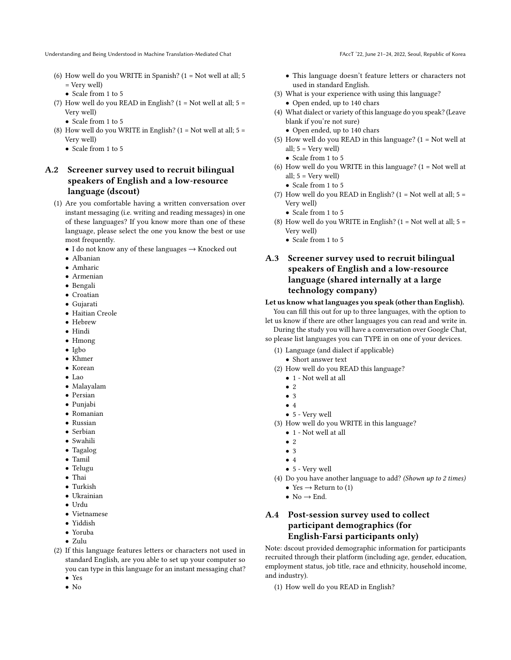- (6) How well do you WRITE in Spanish?  $(1 = Not well at all; 5)$ = Very well)
	- Scale from 1 to 5
- (7) How well do you READ in English? ( $1 = Not$  well at all;  $5 =$ Very well)
	- Scale from 1 to 5
- (8) How well do you WRITE in English?  $(1 = Not well at all; 5 =$ Very well)
	- Scale from 1 to 5

# A.2 Screener survey used to recruit bilingual speakers of English and a low-resource language (dscout)

- (1) Are you comfortable having a written conversation over instant messaging (i.e. writing and reading messages) in one of these languages? If you know more than one of these language, please select the one you know the best or use most frequently.
	- I do not know any of these languages  $\rightarrow$  Knocked out
	- Albanian
	- Amharic
	- Armenian
	- Bengali
	- Croatian
	- Gujarati
	- Haitian Creole
	- Hebrew
	- Hindi
	- Hmong
	- Igbo
	- Khmer
	- Korean
	- Lao
	- Malayalam
	- Persian
	- Punjabi
	- Romanian • Russian
	- Serbian
	- Swahili
	- Tagalog
	- Tamil
	- Telugu
	- Thai
	- Turkish
	- Ukrainian
	- Urdu
	-
	- Vietnamese
	- Yiddish
	- Yoruba
	- Zulu
- (2) If this language features letters or characters not used in standard English, are you able to set up your computer so you can type in this language for an instant messaging chat? • Yes
	- No
- 
- This language doesn't feature letters or characters not used in standard English.
- (3) What is your experience with using this language?
	- Open ended, up to 140 chars
- (4) What dialect or variety of this language do you speak? (Leave blank if you're not sure)
	- Open ended, up to 140 chars
- (5) How well do you READ in this language? (1 = Not well at all;  $5 = \text{Very well}$ )
	- Scale from 1 to 5
- (6) How well do you WRITE in this language?  $(1 = Not$  well at all;  $5 = \text{Very well}$ )
	- Scale from 1 to 5
- (7) How well do you READ in English?  $(1 = Not well at all; 5 =$ Very well)
	- Scale from 1 to 5
- (8) How well do you WRITE in English?  $(1 = Not well at all; 5 =$ Very well)
	- Scale from 1 to 5

# A.3 Screener survey used to recruit bilingual speakers of English and a low-resource language (shared internally at a large technology company)

#### Let us know what languages you speak (other than English).

You can fill this out for up to three languages, with the option to let us know if there are other languages you can read and write in.

During the study you will have a conversation over Google Chat, so please list languages you can TYPE in on one of your devices.

- (1) Language (and dialect if applicable)
	- Short answer text
- (2) How well do you READ this language?
	- $\bullet\,$  1 Not well at all
	- $\bullet$  2
	- 3
	- 4
	- 5 Very well
- (3) How well do you WRITE in this language?
	- $\bullet\,$  1 Not well at all
	- 2
	- 3
	- 4
	- 5 Very well
- (4) Do you have another language to add? (Shown up to 2 times)
	- Yes  $\rightarrow$  Return to (1)
	- No  $\rightarrow$  End.

# A.4 Post-session survey used to collect participant demographics (for English-Farsi participants only)

Note: dscout provided demographic information for participants recruited through their platform (including age, gender, education, employment status, job title, race and ethnicity, household income, and industry).

(1) How well do you READ in English?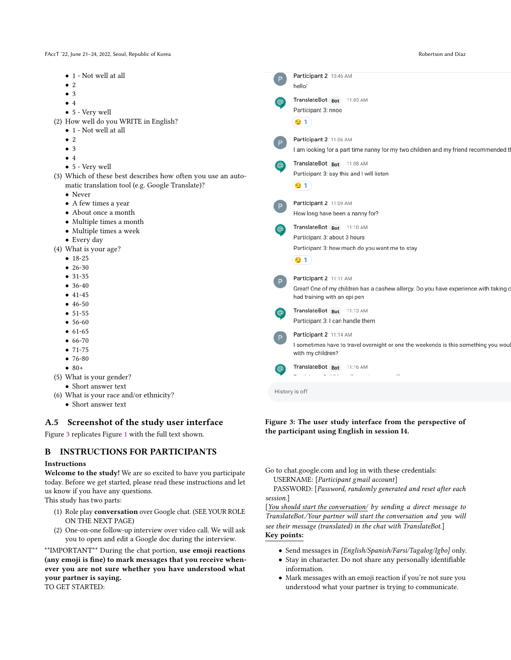FAccT '22, June 21–24, 2022, Seoul, Republic of Korea Robertson and Díaz

<span id="page-13-0"></span>

| • 1 - Not well at all                                        | $\mathsf{P}$ | Participant 2 10:46 AM                                                               |
|--------------------------------------------------------------|--------------|--------------------------------------------------------------------------------------|
| $\bullet$ 2                                                  |              | hello!                                                                               |
| $\bullet$ 3                                                  |              | TranslateBot Bot 11:05 AM                                                            |
| $\bullet$ 4                                                  | <u>ම</u>     | Participant 3: nnoo                                                                  |
| $\bullet$ 5 - Very well                                      |              |                                                                                      |
| (2) How well do you WRITE in English?                        |              | $\mathbf{9}$ 1)                                                                      |
| $\bullet$ 1 - Not well at all                                |              |                                                                                      |
| $\bullet$ 2                                                  | P            | Participant 2 11:06 AM                                                               |
| $\bullet$ 3                                                  |              | I am looking for a part time nanny for my two children and my friend recommended th  |
| $\bullet$ 4                                                  |              | TranslateBot Bot 11:08 AM                                                            |
| • 5 - Very well                                              | <u>ම</u>     | Participant 3: say this and I will listen                                            |
| (3) Which of these best describes how often you use an auto- |              |                                                                                      |
| matic translation tool (e.g. Google Translate)?              |              | $\mathbf{9}$ 1                                                                       |
| • Never                                                      |              |                                                                                      |
| • A few times a year                                         | P            | Participant 2 11:09 AM                                                               |
| • About once a month                                         |              | How long have been a nanny for?                                                      |
| • Multiple times a month                                     | <u>ම</u>     | TranslateBot Bot 11:10 AM                                                            |
| • Multiple times a week                                      |              | Participant 3: about 3 hours                                                         |
| • Every day                                                  |              | Participant 3: how much do you want me to stay                                       |
| (4) What is your age?<br>$• 18-25$                           |              |                                                                                      |
| $\bullet$ 26-30                                              |              | $\mathbf{9}$ 1)                                                                      |
| $• 31-35$                                                    |              |                                                                                      |
| $• 36-40$                                                    | P            | Participant 2 11:11 AM                                                               |
| $• 41-45$                                                    |              | Great! One of my children has a cashew allergy. Do you have experience with taking c |
| $• 46-50$                                                    |              | had training with an epi pen                                                         |
| $• 51-55$                                                    | [@]          | TranslateBot Bot 11:13 AM                                                            |
| $• 56-60$                                                    |              | Participant 3: I can handle them                                                     |
| $• 61-65$                                                    |              |                                                                                      |
| $66 - 70$                                                    | P            | Participant 2 11:14 AM                                                               |
| $• 71-75$                                                    |              | I sometimes have to travel overnight or one the weekends is this something you woul  |
| $•76-80$                                                     |              | with my children?                                                                    |
| $• 80+$                                                      | [@           | TranslateBot Bot 11:16 AM                                                            |
| (5) What is your gender?                                     |              | $   -$                                                                               |
| • Short answer text                                          |              |                                                                                      |
| (6) What is your race and/or ethnicity?                      |              | History is off                                                                       |
| • Short answer text                                          |              |                                                                                      |
|                                                              |              |                                                                                      |

# A.5 Screenshot of the study user interface

Figure [3](#page-13-0) replicates Figure [1](#page-3-1) with the full text shown.

# B INSTRUCTIONS FOR PARTICIPANTS

#### Instructions

Welcome to the study! We are so excited to have you participate today. Before we get started, please read these instructions and let us know if you have any questions.

This study has two parts:

- (1) Role play conversation over Google chat. (SEE YOUR ROLE ON THE NEXT PAGE)
- (2) One-on-one follow-up interview over video call. We will ask you to open and edit a Google doc during the interview.

\*\*IMPORTANT\*\* During the chat portion, use emoji reactions (any emoji is fine) to mark messages that you receive whenever you are not sure whether you have understood what your partner is saying. TO GET STARTED:

Figure 3: The user study interface from the perspective of the participant using English in session I4.

Go to chat.google.com and log in with these credentials: USERNAME: [Participant gmail account]

PASSWORD: [Password, randomly generated and reset after each session.]

[You should start the conversation/ by sending a direct message to TranslateBot./Your partner will start the conversation and you will see their message (translated) in the chat with TranslateBot.] Key points:

- Send messages in [English/Spanish/Farsi/Tagalog/Igbo] only.
- Stay in character. Do not share any personally identifiable information.
- Mark messages with an emoji reaction if you're not sure you understood what your partner is trying to communicate.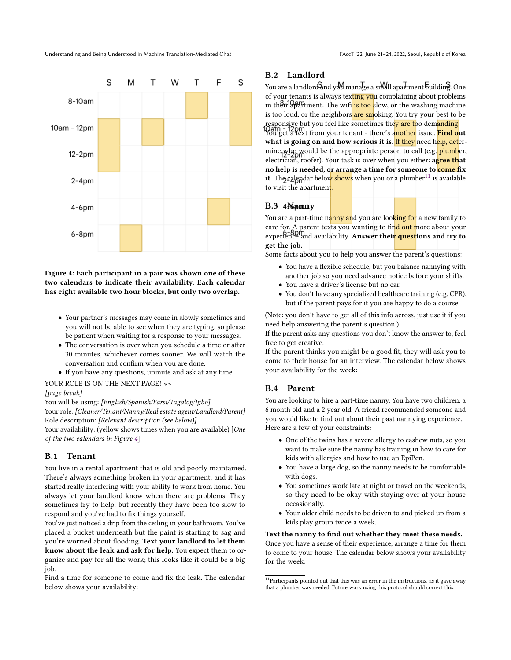<span id="page-14-0"></span>

Figure 4: Each participant in a pair was shown one of these two calendars to indicate their availability. Each calendar has eight available two hour blocks, but only two overlap.

- Your partner's messages may come in slowly sometimes and you will not be able to see when they are typing, so please be patient when waiting for a response to your messages.
- The conversation is over when you schedule a time or after 30 minutes, whichever comes sooner. We will watch the conversation and confirm when you are done.
- If you have any questions, unmute and ask at any time.
- YOUR ROLE IS ON THE NEXT PAGE! »>

#### [page break]

You will be using: [English/Spanish/Farsi/Tagalog/Igbo]

Your role: [Cleaner/Tenant/Nanny/Real estate agent/Landlord/Parent] Role description: [Relevant description (see below)]

Your availability: (yellow shows times when you are available) [One of the two calendars in Figure [4](#page-14-0)]

# B.1 Tenant

You live in a rental apartment that is old and poorly maintained. There's always something broken in your apartment, and it has started really interfering with your ability to work from home. You always let your landlord know when there are problems. They sometimes try to help, but recently they have been too slow to respond and you've had to fix things yourself.

You've just noticed a drip from the ceiling in your bathroom. You've placed a bucket underneath but the paint is starting to sag and you're worried about flooding. Text your landlord to let them know about the leak and ask for help. You expect them to organize and pay for all the work; this looks like it could be a big job.

Find a time for someone to come and fix the leak. The calendar below shows your availability:

# B.2 Landlord

You are a landlord and you manage a small apartment building. One of your tenants is always texting you complaining about problems in their apartment. The wift is too slow, or the washing machine is too loud, or the neighbors are smoking. You try your best to be responsive but you feel like sometimes the<mark>y are t</mark>oo dem<mark>anding</mark>. You get a text from your tenant - there's a<mark>nother</mark> issue. <mark>Find o</mark>ut what is going on and how serious it is. If they need help, determine who would be the appropriate person to call (e.g. plumber, electrician, roofer). Your task is over when you either: agree that no help is needed, or arrange a time for someone to come fix it. The calendar below shows when you or a plumber<sup>[11](#page-14-1)</sup> is available

#### B.3 4Namny

to visit the apartment:

You are a part-time nanny and you are looking for a new family to care for. A parent texts you wanting to fin<mark>d out m</mark>ore about your experience and availability. Answer thei<mark>r quest</mark>ions and try to get the job.

Some facts about you to help you answer the parent's questions:

- You have a flexible schedule, but you balance nannying with another job so you need advance notice before your shifts.
- You have a driver's license but no car.
- You don't have any specialized healthcare training (e.g. CPR), but if the parent pays for it you are happy to do a course.

(Note: you don't have to get all of this info across, just use it if you need help answering the parent's question.)

If the parent asks any questions you don't know the answer to, feel free to get creative.

If the parent thinks you might be a good fit, they will ask you to come to their house for an interview. The calendar below shows your availability for the week:

#### B.4 Parent

You are looking to hire a part-time nanny. You have two children, a 6 month old and a 2 year old. A friend recommended someone and you would like to find out about their past nannying experience. Here are a few of your constraints:

- One of the twins has a severe allergy to cashew nuts, so you want to make sure the nanny has training in how to care for kids with allergies and how to use an EpiPen.
- You have a large dog, so the nanny needs to be comfortable with dogs.
- You sometimes work late at night or travel on the weekends, so they need to be okay with staying over at your house occasionally.
- Your older child needs to be driven to and picked up from a kids play group twice a week.

Text the nanny to find out whether they meet these needs. Once you have a sense of their experience, arrange a time for them to come to your house. The calendar below shows your availability for the week:

<span id="page-14-1"></span> $11$ Participants pointed out that this was an error in the instructions, as it gave away that a plumber was needed. Future work using this protocol should correct this.